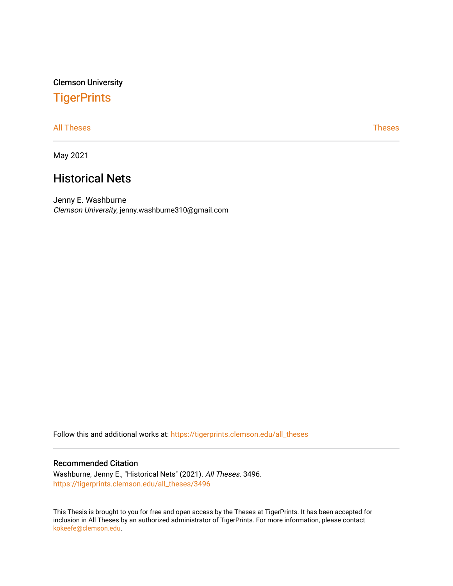Clemson University

# **TigerPrints**

[All Theses](https://tigerprints.clemson.edu/all_theses) **Theses** [Theses](https://tigerprints.clemson.edu/theses) **Theses** 

May 2021

# Historical Nets

Jenny E. Washburne Clemson University, jenny.washburne310@gmail.com

Follow this and additional works at: [https://tigerprints.clemson.edu/all\\_theses](https://tigerprints.clemson.edu/all_theses?utm_source=tigerprints.clemson.edu%2Fall_theses%2F3496&utm_medium=PDF&utm_campaign=PDFCoverPages) 

### Recommended Citation

Washburne, Jenny E., "Historical Nets" (2021). All Theses. 3496. [https://tigerprints.clemson.edu/all\\_theses/3496](https://tigerprints.clemson.edu/all_theses/3496?utm_source=tigerprints.clemson.edu%2Fall_theses%2F3496&utm_medium=PDF&utm_campaign=PDFCoverPages) 

This Thesis is brought to you for free and open access by the Theses at TigerPrints. It has been accepted for inclusion in All Theses by an authorized administrator of TigerPrints. For more information, please contact [kokeefe@clemson.edu](mailto:kokeefe@clemson.edu).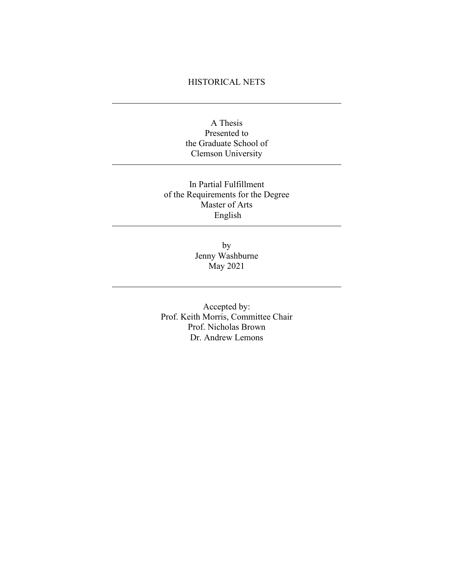## HISTORICAL NETS

A Thesis Presented to the Graduate School of Clemson University

In Partial Fulfillment of the Requirements for the Degree Master of Arts English

> by Jenny Washburne May 2021

Accepted by: Prof. Keith Morris, Committee Chair Prof. Nicholas Brown Dr. Andrew Lemons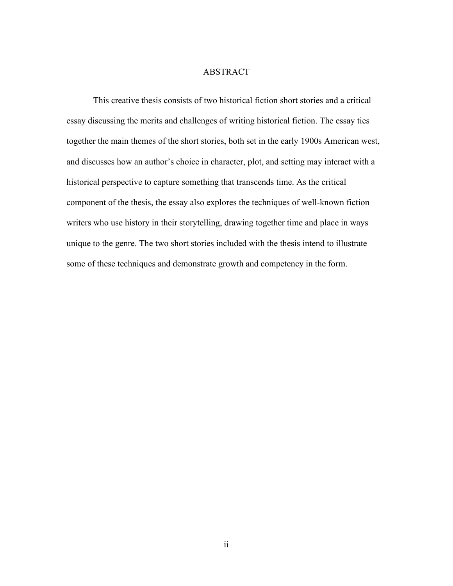### ABSTRACT

<span id="page-2-1"></span><span id="page-2-0"></span>This creative thesis consists of two historical fiction short stories and a critical essay discussing the merits and challenges of writing historical fiction. The essay ties together the main themes of the short stories, both set in the early 1900s American west, and discusses how an author's choice in character, plot, and setting may interact with a historical perspective to capture something that transcends time. As the critical component of the thesis, the essay also explores the techniques of well-known fiction writers who use history in their storytelling, drawing together time and place in ways unique to the genre. The two short stories included with the thesis intend to illustrate some of these techniques and demonstrate growth and competency in the form.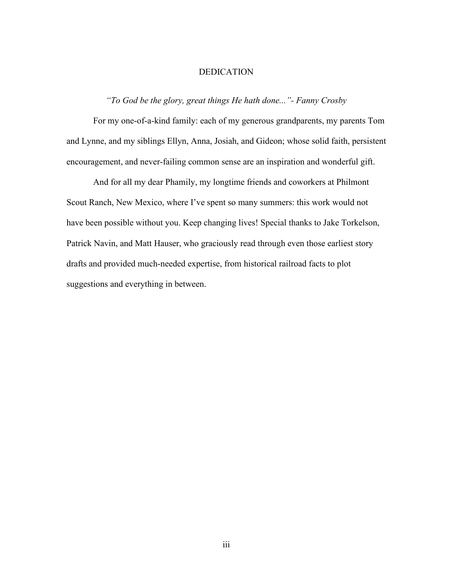### DEDICATION

## *"To God be the glory, great things He hath done..."- Fanny Crosby*

For my one-of-a-kind family: each of my generous grandparents, my parents Tom and Lynne, and my siblings Ellyn, Anna, Josiah, and Gideon; whose solid faith, persistent encouragement, and never-failing common sense are an inspiration and wonderful gift.

And for all my dear Phamily, my longtime friends and coworkers at Philmont Scout Ranch, New Mexico, where I've spent so many summers: this work would not have been possible without you. Keep changing lives! Special thanks to Jake Torkelson, Patrick Navin, and Matt Hauser, who graciously read through even those earliest story drafts and provided much-needed expertise, from historical railroad facts to plot suggestions and everything in between.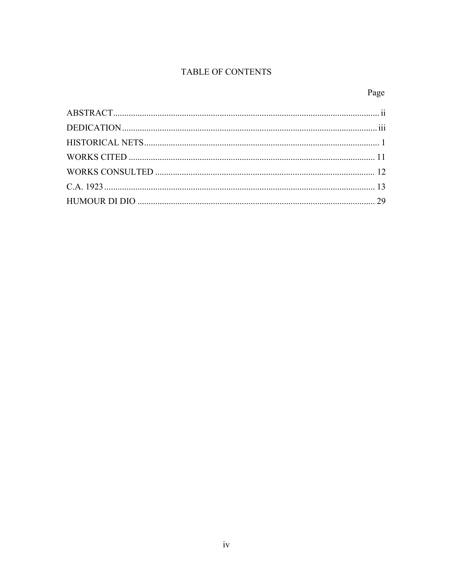# TABLE OF CONTENTS

# Page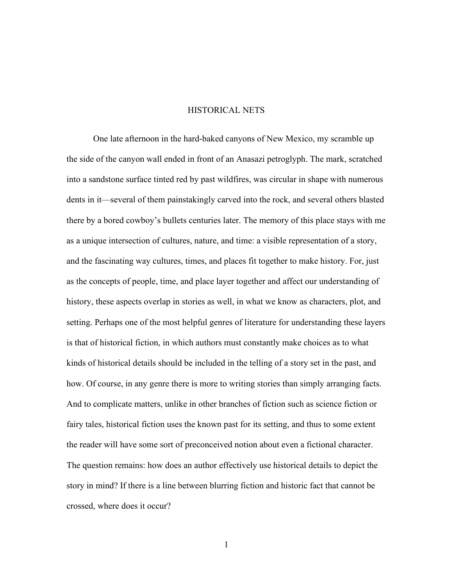### HISTORICAL NETS

<span id="page-5-0"></span>One late afternoon in the hard-baked canyons of New Mexico, my scramble up the side of the canyon wall ended in front of an Anasazi petroglyph. The mark, scratched into a sandstone surface tinted red by past wildfires, was circular in shape with numerous dents in it—several of them painstakingly carved into the rock, and several others blasted there by a bored cowboy's bullets centuries later. The memory of this place stays with me as a unique intersection of cultures, nature, and time: a visible representation of a story, and the fascinating way cultures, times, and places fit together to make history. For, just as the concepts of people, time, and place layer together and affect our understanding of history, these aspects overlap in stories as well, in what we know as characters, plot, and setting. Perhaps one of the most helpful genres of literature for understanding these layers is that of historical fiction, in which authors must constantly make choices as to what kinds of historical details should be included in the telling of a story set in the past, and how. Of course, in any genre there is more to writing stories than simply arranging facts. And to complicate matters, unlike in other branches of fiction such as science fiction or fairy tales, historical fiction uses the known past for its setting, and thus to some extent the reader will have some sort of preconceived notion about even a fictional character. The question remains: how does an author effectively use historical details to depict the story in mind? If there is a line between blurring fiction and historic fact that cannot be crossed, where does it occur?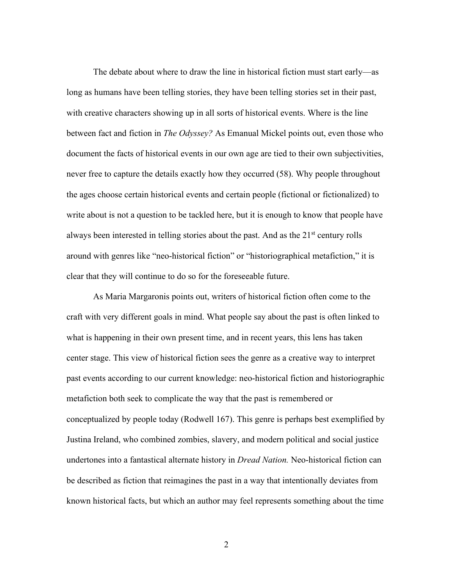The debate about where to draw the line in historical fiction must start early—as long as humans have been telling stories, they have been telling stories set in their past, with creative characters showing up in all sorts of historical events. Where is the line between fact and fiction in *The Odyssey?* As Emanual Mickel points out, even those who document the facts of historical events in our own age are tied to their own subjectivities, never free to capture the details exactly how they occurred (58). Why people throughout the ages choose certain historical events and certain people (fictional or fictionalized) to write about is not a question to be tackled here, but it is enough to know that people have always been interested in telling stories about the past. And as the  $21<sup>st</sup>$  century rolls around with genres like "neo-historical fiction" or "historiographical metafiction," it is clear that they will continue to do so for the foreseeable future.

As Maria Margaronis points out, writers of historical fiction often come to the craft with very different goals in mind. What people say about the past is often linked to what is happening in their own present time, and in recent years, this lens has taken center stage. This view of historical fiction sees the genre as a creative way to interpret past events according to our current knowledge: neo-historical fiction and historiographic metafiction both seek to complicate the way that the past is remembered or conceptualized by people today (Rodwell 167). This genre is perhaps best exemplified by Justina Ireland, who combined zombies, slavery, and modern political and social justice undertones into a fantastical alternate history in *Dread Nation.* Neo-historical fiction can be described as fiction that reimagines the past in a way that intentionally deviates from known historical facts, but which an author may feel represents something about the time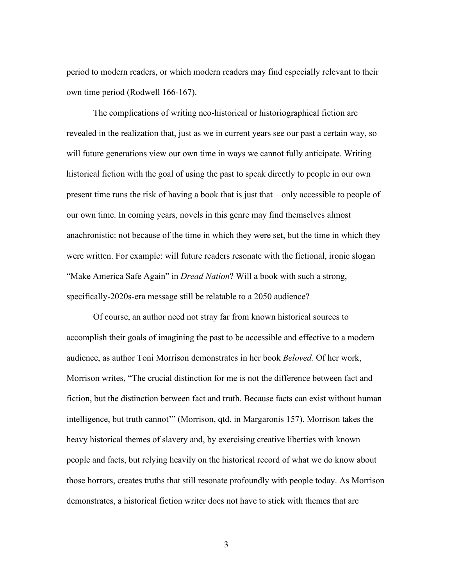period to modern readers, or which modern readers may find especially relevant to their own time period (Rodwell 166-167).

The complications of writing neo-historical or historiographical fiction are revealed in the realization that, just as we in current years see our past a certain way, so will future generations view our own time in ways we cannot fully anticipate. Writing historical fiction with the goal of using the past to speak directly to people in our own present time runs the risk of having a book that is just that—only accessible to people of our own time. In coming years, novels in this genre may find themselves almost anachronistic: not because of the time in which they were set, but the time in which they were written. For example: will future readers resonate with the fictional, ironic slogan "Make America Safe Again" in *Dread Nation*? Will a book with such a strong, specifically-2020s-era message still be relatable to a 2050 audience?

Of course, an author need not stray far from known historical sources to accomplish their goals of imagining the past to be accessible and effective to a modern audience, as author Toni Morrison demonstrates in her book *Beloved.* Of her work, Morrison writes, "The crucial distinction for me is not the difference between fact and fiction, but the distinction between fact and truth. Because facts can exist without human intelligence, but truth cannot'" (Morrison, qtd. in Margaronis 157). Morrison takes the heavy historical themes of slavery and, by exercising creative liberties with known people and facts, but relying heavily on the historical record of what we do know about those horrors, creates truths that still resonate profoundly with people today. As Morrison demonstrates, a historical fiction writer does not have to stick with themes that are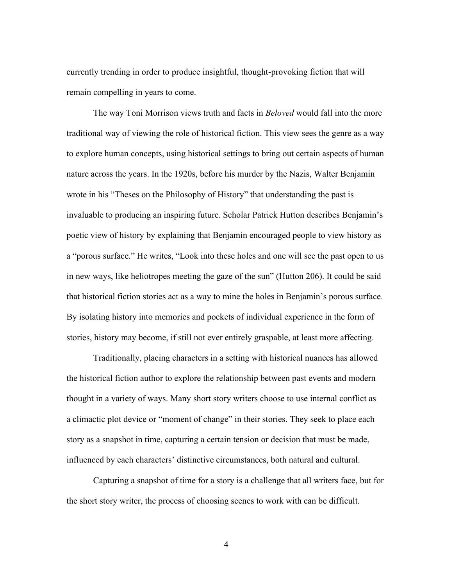currently trending in order to produce insightful, thought-provoking fiction that will remain compelling in years to come.

The way Toni Morrison views truth and facts in *Beloved* would fall into the more traditional way of viewing the role of historical fiction. This view sees the genre as a way to explore human concepts, using historical settings to bring out certain aspects of human nature across the years. In the 1920s, before his murder by the Nazis, Walter Benjamin wrote in his "Theses on the Philosophy of History" that understanding the past is invaluable to producing an inspiring future. Scholar Patrick Hutton describes Benjamin's poetic view of history by explaining that Benjamin encouraged people to view history as a "porous surface." He writes, "Look into these holes and one will see the past open to us in new ways, like heliotropes meeting the gaze of the sun" (Hutton 206). It could be said that historical fiction stories act as a way to mine the holes in Benjamin's porous surface. By isolating history into memories and pockets of individual experience in the form of stories, history may become, if still not ever entirely graspable, at least more affecting.

Traditionally, placing characters in a setting with historical nuances has allowed the historical fiction author to explore the relationship between past events and modern thought in a variety of ways. Many short story writers choose to use internal conflict as a climactic plot device or "moment of change" in their stories. They seek to place each story as a snapshot in time, capturing a certain tension or decision that must be made, influenced by each characters' distinctive circumstances, both natural and cultural.

Capturing a snapshot of time for a story is a challenge that all writers face, but for the short story writer, the process of choosing scenes to work with can be difficult.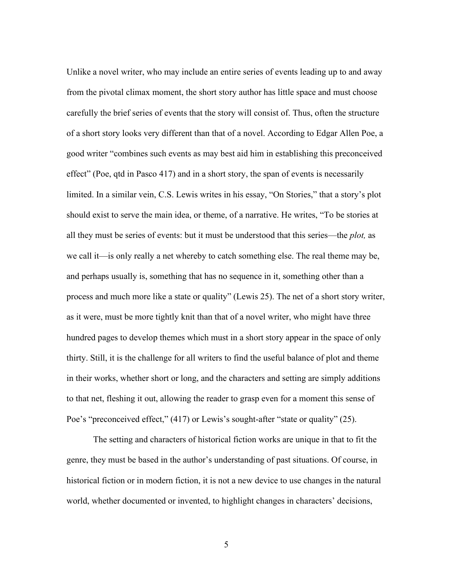Unlike a novel writer, who may include an entire series of events leading up to and away from the pivotal climax moment, the short story author has little space and must choose carefully the brief series of events that the story will consist of. Thus, often the structure of a short story looks very different than that of a novel. According to Edgar Allen Poe, a good writer "combines such events as may best aid him in establishing this preconceived effect" (Poe, qtd in Pasco 417) and in a short story, the span of events is necessarily limited. In a similar vein, C.S. Lewis writes in his essay, "On Stories," that a story's plot should exist to serve the main idea, or theme, of a narrative. He writes, "To be stories at all they must be series of events: but it must be understood that this series—the *plot,* as we call it—is only really a net whereby to catch something else. The real theme may be, and perhaps usually is, something that has no sequence in it, something other than a process and much more like a state or quality" (Lewis 25). The net of a short story writer, as it were, must be more tightly knit than that of a novel writer, who might have three hundred pages to develop themes which must in a short story appear in the space of only thirty. Still, it is the challenge for all writers to find the useful balance of plot and theme in their works, whether short or long, and the characters and setting are simply additions to that net, fleshing it out, allowing the reader to grasp even for a moment this sense of Poe's "preconceived effect," (417) or Lewis's sought-after "state or quality" (25).

The setting and characters of historical fiction works are unique in that to fit the genre, they must be based in the author's understanding of past situations. Of course, in historical fiction or in modern fiction, it is not a new device to use changes in the natural world, whether documented or invented, to highlight changes in characters' decisions,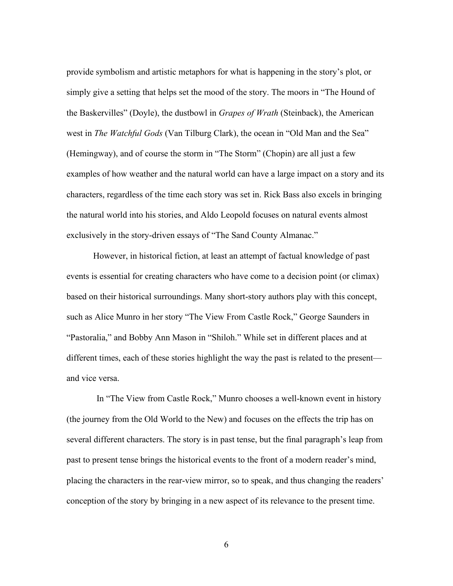provide symbolism and artistic metaphors for what is happening in the story's plot, or simply give a setting that helps set the mood of the story. The moors in "The Hound of the Baskervilles" (Doyle), the dustbowl in *Grapes of Wrath* (Steinback), the American west in *The Watchful Gods* (Van Tilburg Clark), the ocean in "Old Man and the Sea" (Hemingway), and of course the storm in "The Storm" (Chopin) are all just a few examples of how weather and the natural world can have a large impact on a story and its characters, regardless of the time each story was set in. Rick Bass also excels in bringing the natural world into his stories, and Aldo Leopold focuses on natural events almost exclusively in the story-driven essays of "The Sand County Almanac."

However, in historical fiction, at least an attempt of factual knowledge of past events is essential for creating characters who have come to a decision point (or climax) based on their historical surroundings. Many short-story authors play with this concept, such as Alice Munro in her story "The View From Castle Rock," George Saunders in "Pastoralia," and Bobby Ann Mason in "Shiloh." While set in different places and at different times, each of these stories highlight the way the past is related to the present and vice versa.

In "The View from Castle Rock," Munro chooses a well-known event in history (the journey from the Old World to the New) and focuses on the effects the trip has on several different characters. The story is in past tense, but the final paragraph's leap from past to present tense brings the historical events to the front of a modern reader's mind, placing the characters in the rear-view mirror, so to speak, and thus changing the readers' conception of the story by bringing in a new aspect of its relevance to the present time.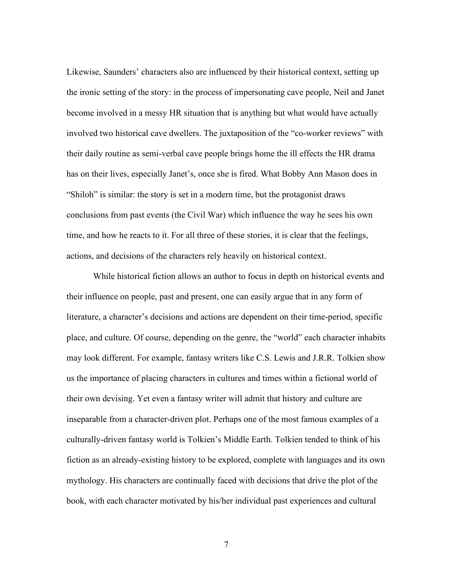Likewise, Saunders' characters also are influenced by their historical context, setting up the ironic setting of the story: in the process of impersonating cave people, Neil and Janet become involved in a messy HR situation that is anything but what would have actually involved two historical cave dwellers. The juxtaposition of the "co-worker reviews" with their daily routine as semi-verbal cave people brings home the ill effects the HR drama has on their lives, especially Janet's, once she is fired. What Bobby Ann Mason does in "Shiloh" is similar: the story is set in a modern time, but the protagonist draws conclusions from past events (the Civil War) which influence the way he sees his own time, and how he reacts to it. For all three of these stories, it is clear that the feelings, actions, and decisions of the characters rely heavily on historical context.

While historical fiction allows an author to focus in depth on historical events and their influence on people, past and present, one can easily argue that in any form of literature, a character's decisions and actions are dependent on their time-period, specific place, and culture. Of course, depending on the genre, the "world" each character inhabits may look different. For example, fantasy writers like C.S. Lewis and J.R.R. Tolkien show us the importance of placing characters in cultures and times within a fictional world of their own devising. Yet even a fantasy writer will admit that history and culture are inseparable from a character-driven plot. Perhaps one of the most famous examples of a culturally-driven fantasy world is Tolkien's Middle Earth. Tolkien tended to think of his fiction as an already-existing history to be explored, complete with languages and its own mythology. His characters are continually faced with decisions that drive the plot of the book, with each character motivated by his/her individual past experiences and cultural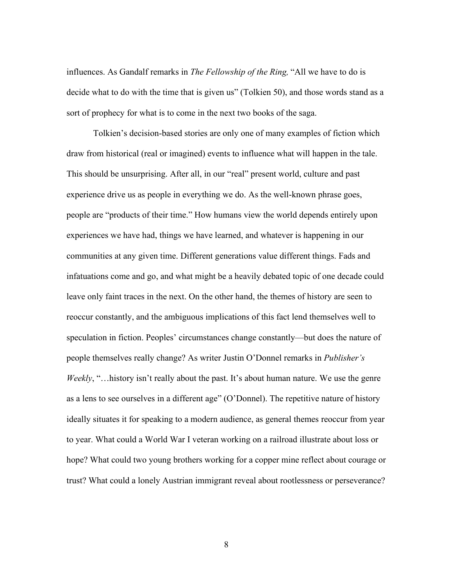influences. As Gandalf remarks in *The Fellowship of the Ring,* "All we have to do is decide what to do with the time that is given us" (Tolkien 50), and those words stand as a sort of prophecy for what is to come in the next two books of the saga.

Tolkien's decision-based stories are only one of many examples of fiction which draw from historical (real or imagined) events to influence what will happen in the tale. This should be unsurprising. After all, in our "real" present world, culture and past experience drive us as people in everything we do. As the well-known phrase goes, people are "products of their time." How humans view the world depends entirely upon experiences we have had, things we have learned, and whatever is happening in our communities at any given time. Different generations value different things. Fads and infatuations come and go, and what might be a heavily debated topic of one decade could leave only faint traces in the next. On the other hand, the themes of history are seen to reoccur constantly, and the ambiguous implications of this fact lend themselves well to speculation in fiction. Peoples' circumstances change constantly—but does the nature of people themselves really change? As writer Justin O'Donnel remarks in *Publisher's Weekly*, "…history isn't really about the past. It's about human nature. We use the genre as a lens to see ourselves in a different age" (O'Donnel). The repetitive nature of history ideally situates it for speaking to a modern audience, as general themes reoccur from year to year. What could a World War I veteran working on a railroad illustrate about loss or hope? What could two young brothers working for a copper mine reflect about courage or trust? What could a lonely Austrian immigrant reveal about rootlessness or perseverance?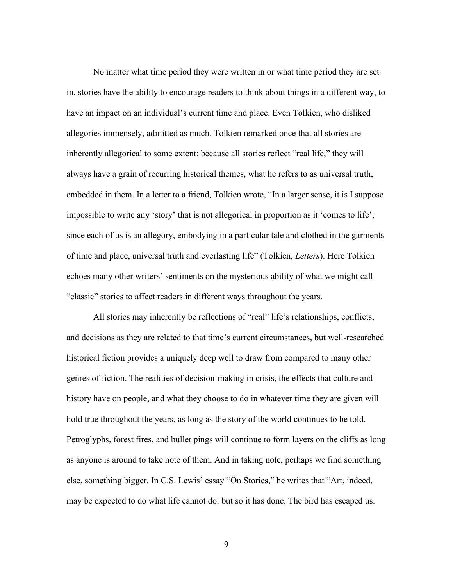No matter what time period they were written in or what time period they are set in, stories have the ability to encourage readers to think about things in a different way, to have an impact on an individual's current time and place. Even Tolkien, who disliked allegories immensely, admitted as much. Tolkien remarked once that all stories are inherently allegorical to some extent: because all stories reflect "real life," they will always have a grain of recurring historical themes, what he refers to as universal truth, embedded in them. In a letter to a friend, Tolkien wrote, "In a larger sense, it is I suppose impossible to write any 'story' that is not allegorical in proportion as it 'comes to life'; since each of us is an allegory, embodying in a particular tale and clothed in the garments of time and place, universal truth and everlasting life" (Tolkien, *Letters*). Here Tolkien echoes many other writers' sentiments on the mysterious ability of what we might call "classic" stories to affect readers in different ways throughout the years.

All stories may inherently be reflections of "real" life's relationships, conflicts, and decisions as they are related to that time's current circumstances, but well-researched historical fiction provides a uniquely deep well to draw from compared to many other genres of fiction. The realities of decision-making in crisis, the effects that culture and history have on people, and what they choose to do in whatever time they are given will hold true throughout the years, as long as the story of the world continues to be told. Petroglyphs, forest fires, and bullet pings will continue to form layers on the cliffs as long as anyone is around to take note of them. And in taking note, perhaps we find something else, something bigger. In C.S. Lewis' essay "On Stories," he writes that "Art, indeed, may be expected to do what life cannot do: but so it has done. The bird has escaped us.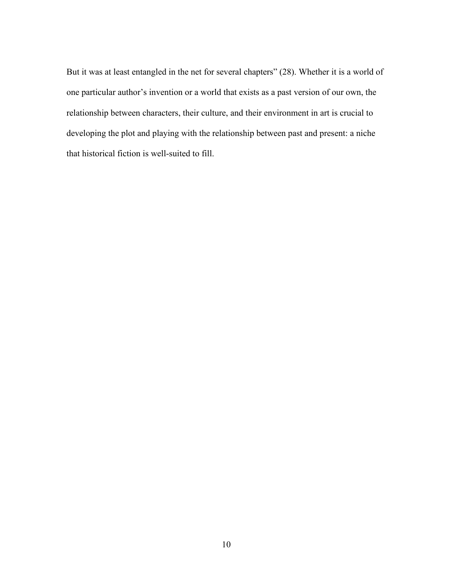But it was at least entangled in the net for several chapters" (28). Whether it is a world of one particular author's invention or a world that exists as a past version of our own, the relationship between characters, their culture, and their environment in art is crucial to developing the plot and playing with the relationship between past and present: a niche that historical fiction is well-suited to fill.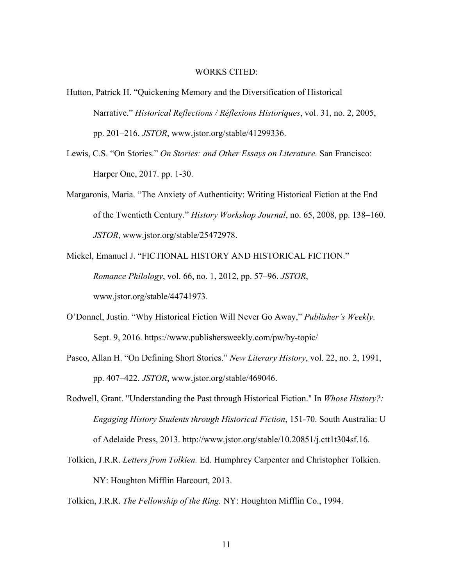#### WORKS CITED:

- <span id="page-15-0"></span>Hutton, Patrick H. "Quickening Memory and the Diversification of Historical Narrative." *Historical Reflections / Réflexions Historiques*, vol. 31, no. 2, 2005, pp. 201–216. *JSTOR*, www.jstor.org/stable/41299336.
- Lewis, C.S. "On Stories." *On Stories: and Other Essays on Literature.* San Francisco: Harper One, 2017. pp. 1-30.
- Margaronis, Maria. "The Anxiety of Authenticity: Writing Historical Fiction at the End of the Twentieth Century." *History Workshop Journal*, no. 65, 2008, pp. 138–160. *JSTOR*, www.jstor.org/stable/25472978.
- Mickel, Emanuel J. "FICTIONAL HISTORY AND HISTORICAL FICTION." *Romance Philology*, vol. 66, no. 1, 2012, pp. 57–96. *JSTOR*, www.jstor.org/stable/44741973.
- O'Donnel, Justin. "Why Historical Fiction Will Never Go Away," *Publisher's Weekly*. Sept. 9, 2016. https://www.publishersweekly.com/pw/by-topic/
- Pasco, Allan H. "On Defining Short Stories." *New Literary History*, vol. 22, no. 2, 1991, pp. 407–422. *JSTOR*, www.jstor.org/stable/469046.
- Rodwell, Grant. "Understanding the Past through Historical Fiction." In *Whose History?: Engaging History Students through Historical Fiction*, 151-70. South Australia: U of Adelaide Press, 2013. http://www.jstor.org/stable/10.20851/j.ctt1t304sf.16.
- Tolkien, J.R.R. *Letters from Tolkien.* Ed. Humphrey Carpenter and Christopher Tolkien. NY: Houghton Mifflin Harcourt, 2013.

Tolkien, J.R.R. *The Fellowship of the Ring.* NY: Houghton Mifflin Co., 1994.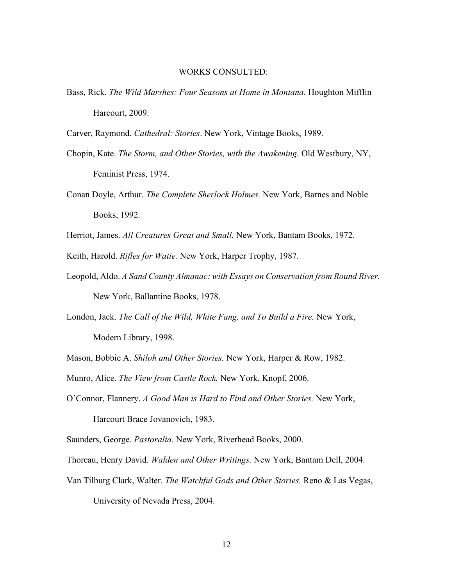#### WORKS CONSULTED:

Bass, Rick. *The Wild Marshes: Four Seasons at Home in Montana.* Houghton Mifflin Harcourt, 2009.

Carver, Raymond. *Cathedral: Stories*. New York, Vintage Books, 1989.

- Chopin, Kate. *The Storm, and Other Stories, with the Awakening.* Old Westbury, NY, Feminist Press, 1974.
- Conan Doyle, Arthur. *The Complete Sherlock Holmes.* New York, Barnes and Noble Books, 1992.

Herriot, James. *All Creatures Great and Small.* New York, Bantam Books, 1972.

Keith, Harold. *Rifles for Watie.* New York, Harper Trophy, 1987.

Leopold, Aldo. *A Sand County Almanac: with Essays on Conservation from Round River.* New York, Ballantine Books, 1978.

London, Jack. *The Call of the Wild, White Fang, and To Build a Fire.* New York,

Modern Library, 1998.

Mason, Bobbie A. *Shiloh and Other Stories.* New York, Harper & Row, 1982.

Munro, Alice. *The View from Castle Rock.* New York, Knopf, 2006.

O'Connor, Flannery. *A Good Man is Hard to Find and Other Stories.* New York, Harcourt Brace Jovanovich, 1983.

Saunders, George. *Pastoralia.* New York, Riverhead Books, 2000.

Thoreau, Henry David. *Walden and Other Writings.* New York, Bantam Dell, 2004.

Van Tilburg Clark, Walter. *The Watchful Gods and Other Stories.* Reno & Las Vegas, University of Nevada Press, 2004.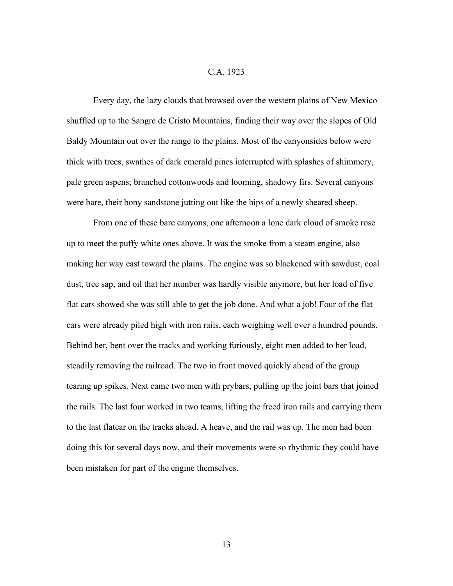#### C.A. 1923

<span id="page-17-0"></span>Every day, the lazy clouds that browsed over the western plains of New Mexico shuffled up to the Sangre de Cristo Mountains, finding their way over the slopes of Old Baldy Mountain out over the range to the plains. Most of the canyonsides below were thick with trees, swathes of dark emerald pines interrupted with splashes of shimmery, pale green aspens; branched cottonwoods and looming, shadowy firs. Several canyons were bare, their bony sandstone jutting out like the hips of a newly sheared sheep.

From one of these bare canyons, one afternoon a lone dark cloud of smoke rose up to meet the puffy white ones above. It was the smoke from a steam engine, also making her way east toward the plains. The engine was so blackened with sawdust, coal dust, tree sap, and oil that her number was hardly visible anymore, but her load of five flat cars showed she was still able to get the job done. And what a job! Four of the flat cars were already piled high with iron rails, each weighing well over a hundred pounds. Behind her, bent over the tracks and working furiously, eight men added to her load, steadily removing the railroad. The two in front moved quickly ahead of the group tearing up spikes. Next came two men with prybars, pulling up the joint bars that joined the rails. The last four worked in two teams, lifting the freed iron rails and carrying them to the last flatcar on the tracks ahead. A heave, and the rail was up. The men had been doing this for several days now, and their movements were so rhythmic they could have been mistaken for part of the engine themselves.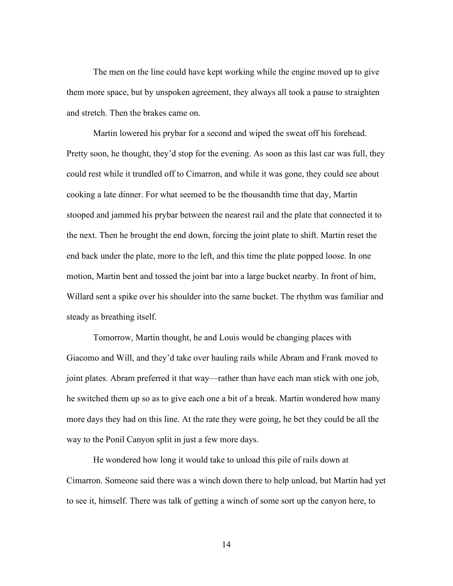The men on the line could have kept working while the engine moved up to give them more space, but by unspoken agreement, they always all took a pause to straighten and stretch. Then the brakes came on.

Martin lowered his prybar for a second and wiped the sweat off his forehead. Pretty soon, he thought, they'd stop for the evening. As soon as this last car was full, they could rest while it trundled off to Cimarron, and while it was gone, they could see about cooking a late dinner. For what seemed to be the thousandth time that day, Martin stooped and jammed his prybar between the nearest rail and the plate that connected it to the next. Then he brought the end down, forcing the joint plate to shift. Martin reset the end back under the plate, more to the left, and this time the plate popped loose. In one motion, Martin bent and tossed the joint bar into a large bucket nearby. In front of him, Willard sent a spike over his shoulder into the same bucket. The rhythm was familiar and steady as breathing itself.

Tomorrow, Martin thought, he and Louis would be changing places with Giacomo and Will, and they'd take over hauling rails while Abram and Frank moved to joint plates. Abram preferred it that way—rather than have each man stick with one job, he switched them up so as to give each one a bit of a break. Martin wondered how many more days they had on this line. At the rate they were going, he bet they could be all the way to the Ponil Canyon split in just a few more days.

He wondered how long it would take to unload this pile of rails down at Cimarron. Someone said there was a winch down there to help unload, but Martin had yet to see it, himself. There was talk of getting a winch of some sort up the canyon here, to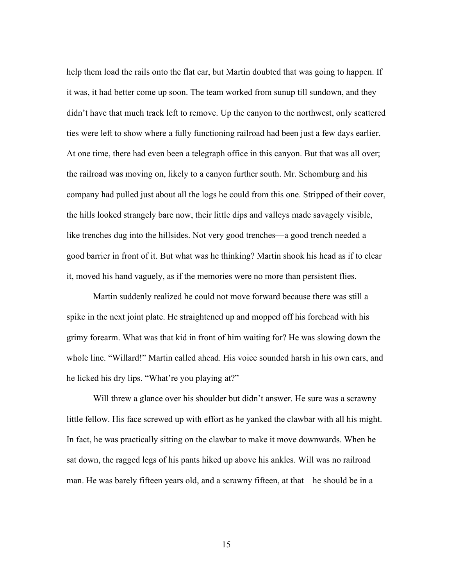help them load the rails onto the flat car, but Martin doubted that was going to happen. If it was, it had better come up soon. The team worked from sunup till sundown, and they didn't have that much track left to remove. Up the canyon to the northwest, only scattered ties were left to show where a fully functioning railroad had been just a few days earlier. At one time, there had even been a telegraph office in this canyon. But that was all over; the railroad was moving on, likely to a canyon further south. Mr. Schomburg and his company had pulled just about all the logs he could from this one. Stripped of their cover, the hills looked strangely bare now, their little dips and valleys made savagely visible, like trenches dug into the hillsides. Not very good trenches—a good trench needed a good barrier in front of it. But what was he thinking? Martin shook his head as if to clear it, moved his hand vaguely, as if the memories were no more than persistent flies.

Martin suddenly realized he could not move forward because there was still a spike in the next joint plate. He straightened up and mopped off his forehead with his grimy forearm. What was that kid in front of him waiting for? He was slowing down the whole line. "Willard!" Martin called ahead. His voice sounded harsh in his own ears, and he licked his dry lips. "What're you playing at?"

Will threw a glance over his shoulder but didn't answer. He sure was a scrawny little fellow. His face screwed up with effort as he yanked the clawbar with all his might. In fact, he was practically sitting on the clawbar to make it move downwards. When he sat down, the ragged legs of his pants hiked up above his ankles. Will was no railroad man. He was barely fifteen years old, and a scrawny fifteen, at that—he should be in a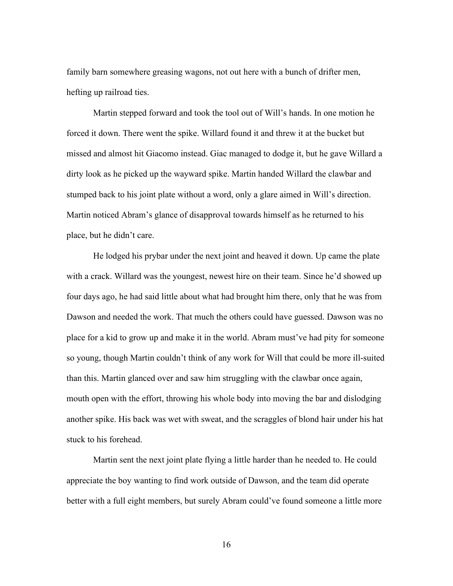family barn somewhere greasing wagons, not out here with a bunch of drifter men, hefting up railroad ties.

Martin stepped forward and took the tool out of Will's hands. In one motion he forced it down. There went the spike. Willard found it and threw it at the bucket but missed and almost hit Giacomo instead. Giac managed to dodge it, but he gave Willard a dirty look as he picked up the wayward spike. Martin handed Willard the clawbar and stumped back to his joint plate without a word, only a glare aimed in Will's direction. Martin noticed Abram's glance of disapproval towards himself as he returned to his place, but he didn't care.

He lodged his prybar under the next joint and heaved it down. Up came the plate with a crack. Willard was the youngest, newest hire on their team. Since he'd showed up four days ago, he had said little about what had brought him there, only that he was from Dawson and needed the work. That much the others could have guessed. Dawson was no place for a kid to grow up and make it in the world. Abram must've had pity for someone so young, though Martin couldn't think of any work for Will that could be more ill-suited than this. Martin glanced over and saw him struggling with the clawbar once again, mouth open with the effort, throwing his whole body into moving the bar and dislodging another spike. His back was wet with sweat, and the scraggles of blond hair under his hat stuck to his forehead.

Martin sent the next joint plate flying a little harder than he needed to. He could appreciate the boy wanting to find work outside of Dawson, and the team did operate better with a full eight members, but surely Abram could've found someone a little more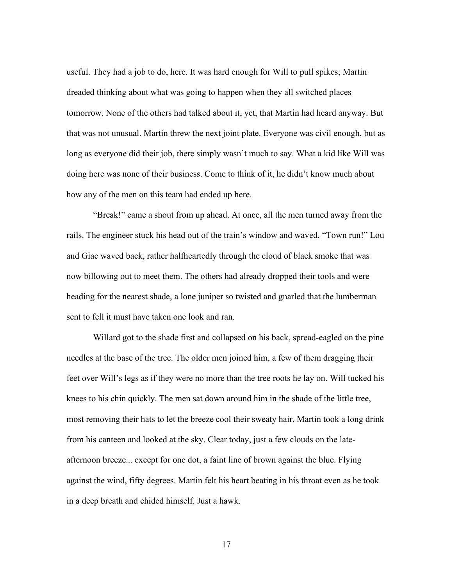useful. They had a job to do, here. It was hard enough for Will to pull spikes; Martin dreaded thinking about what was going to happen when they all switched places tomorrow. None of the others had talked about it, yet, that Martin had heard anyway. But that was not unusual. Martin threw the next joint plate. Everyone was civil enough, but as long as everyone did their job, there simply wasn't much to say. What a kid like Will was doing here was none of their business. Come to think of it, he didn't know much about how any of the men on this team had ended up here.

"Break!" came a shout from up ahead. At once, all the men turned away from the rails. The engineer stuck his head out of the train's window and waved. "Town run!" Lou and Giac waved back, rather halfheartedly through the cloud of black smoke that was now billowing out to meet them. The others had already dropped their tools and were heading for the nearest shade, a lone juniper so twisted and gnarled that the lumberman sent to fell it must have taken one look and ran.

Willard got to the shade first and collapsed on his back, spread-eagled on the pine needles at the base of the tree. The older men joined him, a few of them dragging their feet over Will's legs as if they were no more than the tree roots he lay on. Will tucked his knees to his chin quickly. The men sat down around him in the shade of the little tree, most removing their hats to let the breeze cool their sweaty hair. Martin took a long drink from his canteen and looked at the sky. Clear today, just a few clouds on the lateafternoon breeze... except for one dot, a faint line of brown against the blue. Flying against the wind, fifty degrees. Martin felt his heart beating in his throat even as he took in a deep breath and chided himself. Just a hawk.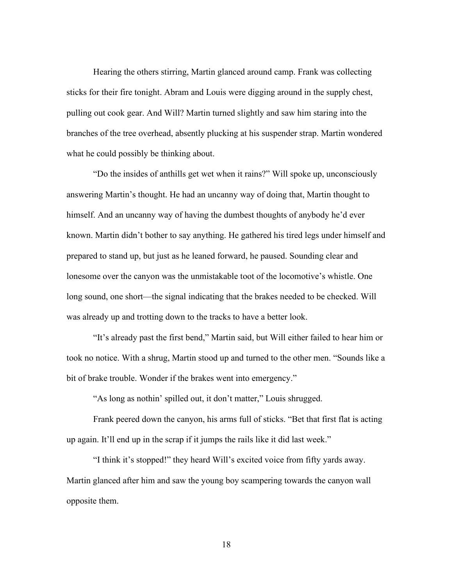Hearing the others stirring, Martin glanced around camp. Frank was collecting sticks for their fire tonight. Abram and Louis were digging around in the supply chest, pulling out cook gear. And Will? Martin turned slightly and saw him staring into the branches of the tree overhead, absently plucking at his suspender strap. Martin wondered what he could possibly be thinking about.

"Do the insides of anthills get wet when it rains?" Will spoke up, unconsciously answering Martin's thought. He had an uncanny way of doing that, Martin thought to himself. And an uncanny way of having the dumbest thoughts of anybody he'd ever known. Martin didn't bother to say anything. He gathered his tired legs under himself and prepared to stand up, but just as he leaned forward, he paused. Sounding clear and lonesome over the canyon was the unmistakable toot of the locomotive's whistle. One long sound, one short—the signal indicating that the brakes needed to be checked. Will was already up and trotting down to the tracks to have a better look.

"It's already past the first bend," Martin said, but Will either failed to hear him or took no notice. With a shrug, Martin stood up and turned to the other men. "Sounds like a bit of brake trouble. Wonder if the brakes went into emergency."

"As long as nothin' spilled out, it don't matter," Louis shrugged.

Frank peered down the canyon, his arms full of sticks. "Bet that first flat is acting up again. It'll end up in the scrap if it jumps the rails like it did last week."

"I think it's stopped!" they heard Will's excited voice from fifty yards away. Martin glanced after him and saw the young boy scampering towards the canyon wall opposite them.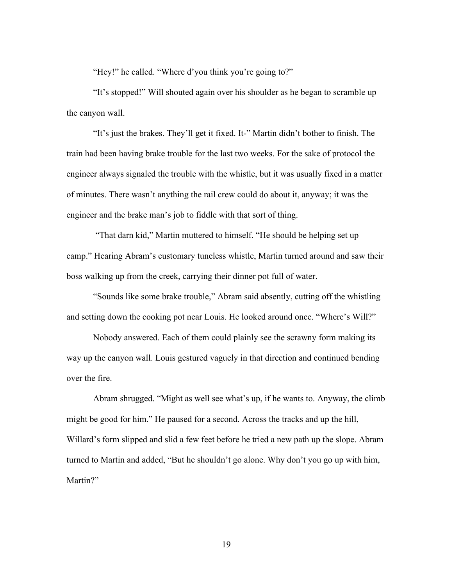"Hey!" he called. "Where d'you think you're going to?"

"It's stopped!" Will shouted again over his shoulder as he began to scramble up the canyon wall.

"It's just the brakes. They'll get it fixed. It-" Martin didn't bother to finish. The train had been having brake trouble for the last two weeks. For the sake of protocol the engineer always signaled the trouble with the whistle, but it was usually fixed in a matter of minutes. There wasn't anything the rail crew could do about it, anyway; it was the engineer and the brake man's job to fiddle with that sort of thing.

"That darn kid," Martin muttered to himself. "He should be helping set up camp." Hearing Abram's customary tuneless whistle, Martin turned around and saw their boss walking up from the creek, carrying their dinner pot full of water.

"Sounds like some brake trouble," Abram said absently, cutting off the whistling and setting down the cooking pot near Louis. He looked around once. "Where's Will?"

Nobody answered. Each of them could plainly see the scrawny form making its way up the canyon wall. Louis gestured vaguely in that direction and continued bending over the fire.

Abram shrugged. "Might as well see what's up, if he wants to. Anyway, the climb might be good for him." He paused for a second. Across the tracks and up the hill, Willard's form slipped and slid a few feet before he tried a new path up the slope. Abram turned to Martin and added, "But he shouldn't go alone. Why don't you go up with him, Martin?"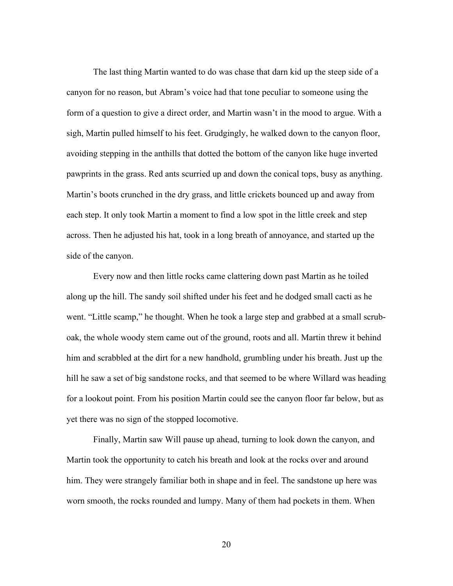The last thing Martin wanted to do was chase that darn kid up the steep side of a canyon for no reason, but Abram's voice had that tone peculiar to someone using the form of a question to give a direct order, and Martin wasn't in the mood to argue. With a sigh, Martin pulled himself to his feet. Grudgingly, he walked down to the canyon floor, avoiding stepping in the anthills that dotted the bottom of the canyon like huge inverted pawprints in the grass. Red ants scurried up and down the conical tops, busy as anything. Martin's boots crunched in the dry grass, and little crickets bounced up and away from each step. It only took Martin a moment to find a low spot in the little creek and step across. Then he adjusted his hat, took in a long breath of annoyance, and started up the side of the canyon.

Every now and then little rocks came clattering down past Martin as he toiled along up the hill. The sandy soil shifted under his feet and he dodged small cacti as he went. "Little scamp," he thought. When he took a large step and grabbed at a small scruboak, the whole woody stem came out of the ground, roots and all. Martin threw it behind him and scrabbled at the dirt for a new handhold, grumbling under his breath. Just up the hill he saw a set of big sandstone rocks, and that seemed to be where Willard was heading for a lookout point. From his position Martin could see the canyon floor far below, but as yet there was no sign of the stopped locomotive.

Finally, Martin saw Will pause up ahead, turning to look down the canyon, and Martin took the opportunity to catch his breath and look at the rocks over and around him. They were strangely familiar both in shape and in feel. The sandstone up here was worn smooth, the rocks rounded and lumpy. Many of them had pockets in them. When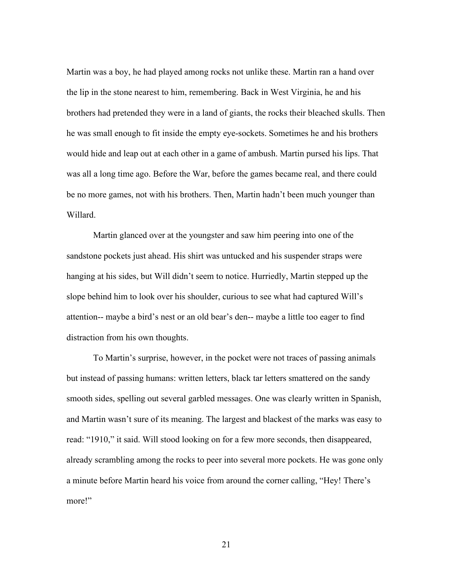Martin was a boy, he had played among rocks not unlike these. Martin ran a hand over the lip in the stone nearest to him, remembering. Back in West Virginia, he and his brothers had pretended they were in a land of giants, the rocks their bleached skulls. Then he was small enough to fit inside the empty eye-sockets. Sometimes he and his brothers would hide and leap out at each other in a game of ambush. Martin pursed his lips. That was all a long time ago. Before the War, before the games became real, and there could be no more games, not with his brothers. Then, Martin hadn't been much younger than Willard.

Martin glanced over at the youngster and saw him peering into one of the sandstone pockets just ahead. His shirt was untucked and his suspender straps were hanging at his sides, but Will didn't seem to notice. Hurriedly, Martin stepped up the slope behind him to look over his shoulder, curious to see what had captured Will's attention-- maybe a bird's nest or an old bear's den-- maybe a little too eager to find distraction from his own thoughts.

To Martin's surprise, however, in the pocket were not traces of passing animals but instead of passing humans: written letters, black tar letters smattered on the sandy smooth sides, spelling out several garbled messages. One was clearly written in Spanish, and Martin wasn't sure of its meaning. The largest and blackest of the marks was easy to read: "1910," it said. Will stood looking on for a few more seconds, then disappeared, already scrambling among the rocks to peer into several more pockets. He was gone only a minute before Martin heard his voice from around the corner calling, "Hey! There's more!"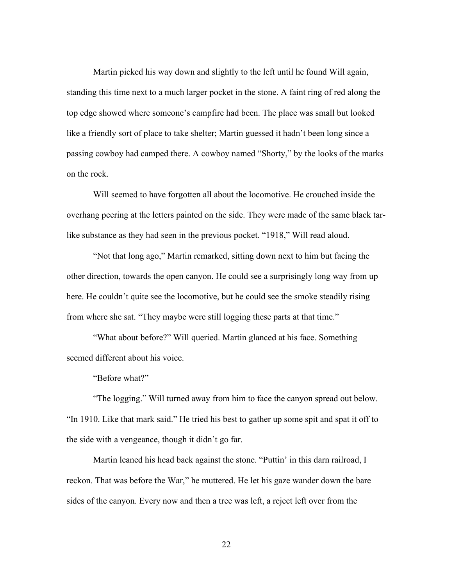Martin picked his way down and slightly to the left until he found Will again, standing this time next to a much larger pocket in the stone. A faint ring of red along the top edge showed where someone's campfire had been. The place was small but looked like a friendly sort of place to take shelter; Martin guessed it hadn't been long since a passing cowboy had camped there. A cowboy named "Shorty," by the looks of the marks on the rock.

Will seemed to have forgotten all about the locomotive. He crouched inside the overhang peering at the letters painted on the side. They were made of the same black tarlike substance as they had seen in the previous pocket. "1918," Will read aloud.

"Not that long ago," Martin remarked, sitting down next to him but facing the other direction, towards the open canyon. He could see a surprisingly long way from up here. He couldn't quite see the locomotive, but he could see the smoke steadily rising from where she sat. "They maybe were still logging these parts at that time."

"What about before?" Will queried. Martin glanced at his face. Something seemed different about his voice.

"Before what?"

"The logging." Will turned away from him to face the canyon spread out below. "In 1910. Like that mark said." He tried his best to gather up some spit and spat it off to the side with a vengeance, though it didn't go far.

Martin leaned his head back against the stone. "Puttin' in this darn railroad, I reckon. That was before the War," he muttered. He let his gaze wander down the bare sides of the canyon. Every now and then a tree was left, a reject left over from the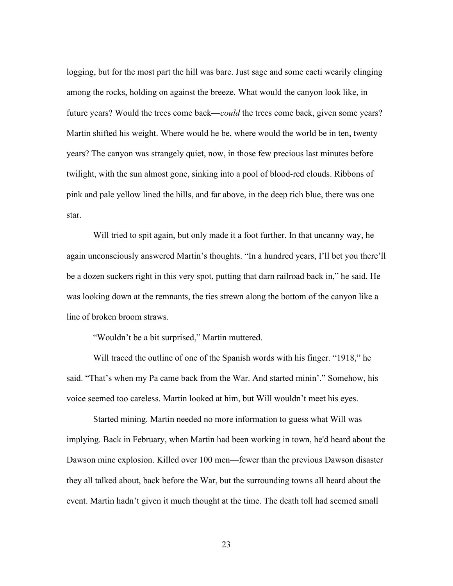logging, but for the most part the hill was bare. Just sage and some cacti wearily clinging among the rocks, holding on against the breeze. What would the canyon look like, in future years? Would the trees come back—*could* the trees come back, given some years? Martin shifted his weight. Where would he be, where would the world be in ten, twenty years? The canyon was strangely quiet, now, in those few precious last minutes before twilight, with the sun almost gone, sinking into a pool of blood-red clouds. Ribbons of pink and pale yellow lined the hills, and far above, in the deep rich blue, there was one star.

Will tried to spit again, but only made it a foot further. In that uncanny way, he again unconsciously answered Martin's thoughts. "In a hundred years, I'll bet you there'll be a dozen suckers right in this very spot, putting that darn railroad back in," he said. He was looking down at the remnants, the ties strewn along the bottom of the canyon like a line of broken broom straws.

"Wouldn't be a bit surprised," Martin muttered.

Will traced the outline of one of the Spanish words with his finger. "1918," he said. "That's when my Pa came back from the War. And started minin'." Somehow, his voice seemed too careless. Martin looked at him, but Will wouldn't meet his eyes.

Started mining. Martin needed no more information to guess what Will was implying. Back in February, when Martin had been working in town, he'd heard about the Dawson mine explosion. Killed over 100 men—fewer than the previous Dawson disaster they all talked about, back before the War, but the surrounding towns all heard about the event. Martin hadn't given it much thought at the time. The death toll had seemed small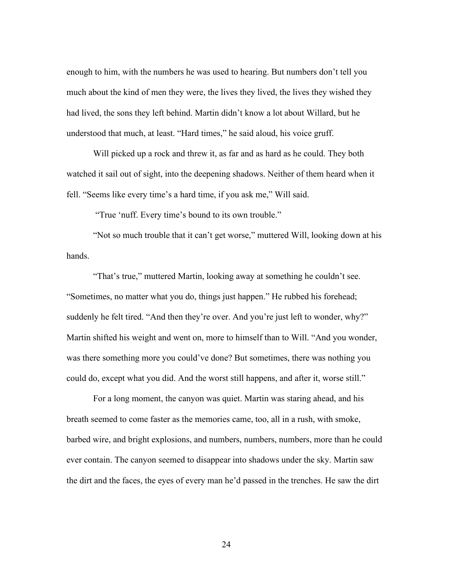enough to him, with the numbers he was used to hearing. But numbers don't tell you much about the kind of men they were, the lives they lived, the lives they wished they had lived, the sons they left behind. Martin didn't know a lot about Willard, but he understood that much, at least. "Hard times," he said aloud, his voice gruff.

Will picked up a rock and threw it, as far and as hard as he could. They both watched it sail out of sight, into the deepening shadows. Neither of them heard when it fell. "Seems like every time's a hard time, if you ask me," Will said.

"True 'nuff. Every time's bound to its own trouble."

"Not so much trouble that it can't get worse," muttered Will, looking down at his hands.

"That's true," muttered Martin, looking away at something he couldn't see. "Sometimes, no matter what you do, things just happen." He rubbed his forehead; suddenly he felt tired. "And then they're over. And you're just left to wonder, why?" Martin shifted his weight and went on, more to himself than to Will. "And you wonder, was there something more you could've done? But sometimes, there was nothing you could do, except what you did. And the worst still happens, and after it, worse still."

For a long moment, the canyon was quiet. Martin was staring ahead, and his breath seemed to come faster as the memories came, too, all in a rush, with smoke, barbed wire, and bright explosions, and numbers, numbers, numbers, more than he could ever contain. The canyon seemed to disappear into shadows under the sky. Martin saw the dirt and the faces, the eyes of every man he'd passed in the trenches. He saw the dirt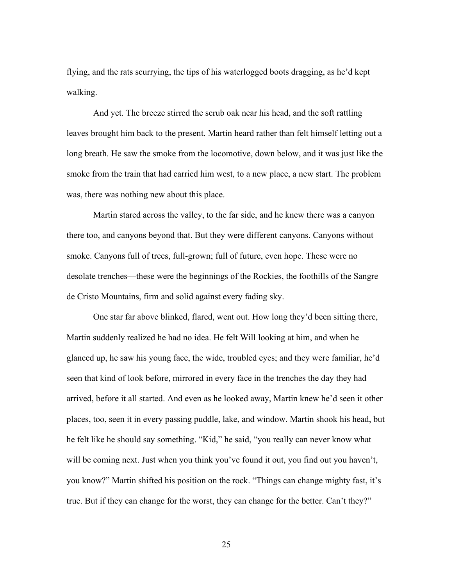flying, and the rats scurrying, the tips of his waterlogged boots dragging, as he'd kept walking.

And yet. The breeze stirred the scrub oak near his head, and the soft rattling leaves brought him back to the present. Martin heard rather than felt himself letting out a long breath. He saw the smoke from the locomotive, down below, and it was just like the smoke from the train that had carried him west, to a new place, a new start. The problem was, there was nothing new about this place.

Martin stared across the valley, to the far side, and he knew there was a canyon there too, and canyons beyond that. But they were different canyons. Canyons without smoke. Canyons full of trees, full-grown; full of future, even hope. These were no desolate trenches—these were the beginnings of the Rockies, the foothills of the Sangre de Cristo Mountains, firm and solid against every fading sky.

One star far above blinked, flared, went out. How long they'd been sitting there, Martin suddenly realized he had no idea. He felt Will looking at him, and when he glanced up, he saw his young face, the wide, troubled eyes; and they were familiar, he'd seen that kind of look before, mirrored in every face in the trenches the day they had arrived, before it all started. And even as he looked away, Martin knew he'd seen it other places, too, seen it in every passing puddle, lake, and window. Martin shook his head, but he felt like he should say something. "Kid," he said, "you really can never know what will be coming next. Just when you think you've found it out, you find out you haven't, you know?" Martin shifted his position on the rock. "Things can change mighty fast, it's true. But if they can change for the worst, they can change for the better. Can't they?"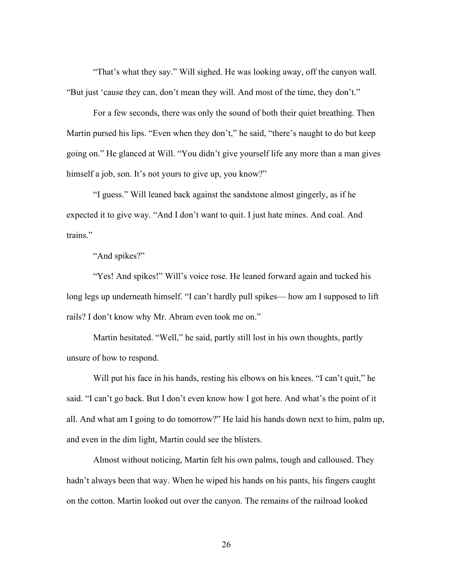"That's what they say." Will sighed. He was looking away, off the canyon wall. "But just 'cause they can, don't mean they will. And most of the time, they don't."

For a few seconds, there was only the sound of both their quiet breathing. Then Martin pursed his lips. "Even when they don't," he said, "there's naught to do but keep going on." He glanced at Will. "You didn't give yourself life any more than a man gives himself a job, son. It's not yours to give up, you know?"

"I guess." Will leaned back against the sandstone almost gingerly, as if he expected it to give way. "And I don't want to quit. I just hate mines. And coal. And trains."

"And spikes?"

"Yes! And spikes!" Will's voice rose. He leaned forward again and tucked his long legs up underneath himself. "I can't hardly pull spikes— how am I supposed to lift rails? I don't know why Mr. Abram even took me on."

Martin hesitated. "Well," he said, partly still lost in his own thoughts, partly unsure of how to respond.

Will put his face in his hands, resting his elbows on his knees. "I can't quit," he said. "I can't go back. But I don't even know how I got here. And what's the point of it all. And what am I going to do tomorrow?" He laid his hands down next to him, palm up, and even in the dim light, Martin could see the blisters.

Almost without noticing, Martin felt his own palms, tough and calloused. They hadn't always been that way. When he wiped his hands on his pants, his fingers caught on the cotton. Martin looked out over the canyon. The remains of the railroad looked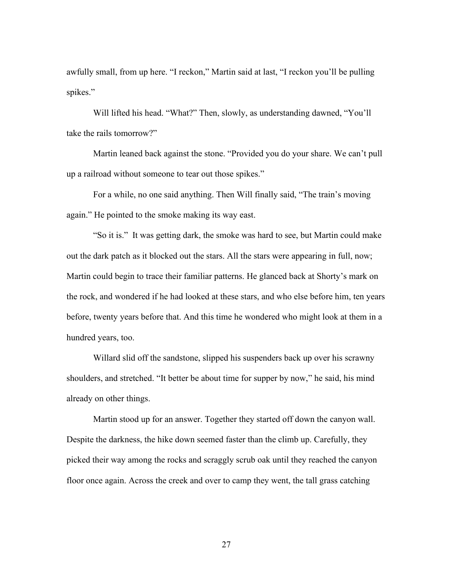awfully small, from up here. "I reckon," Martin said at last, "I reckon you'll be pulling spikes."

Will lifted his head. "What?" Then, slowly, as understanding dawned, "You'll take the rails tomorrow?"

Martin leaned back against the stone. "Provided you do your share. We can't pull up a railroad without someone to tear out those spikes."

For a while, no one said anything. Then Will finally said, "The train's moving again." He pointed to the smoke making its way east.

"So it is." It was getting dark, the smoke was hard to see, but Martin could make out the dark patch as it blocked out the stars. All the stars were appearing in full, now; Martin could begin to trace their familiar patterns. He glanced back at Shorty's mark on the rock, and wondered if he had looked at these stars, and who else before him, ten years before, twenty years before that. And this time he wondered who might look at them in a hundred years, too.

Willard slid off the sandstone, slipped his suspenders back up over his scrawny shoulders, and stretched. "It better be about time for supper by now," he said, his mind already on other things.

Martin stood up for an answer. Together they started off down the canyon wall. Despite the darkness, the hike down seemed faster than the climb up. Carefully, they picked their way among the rocks and scraggly scrub oak until they reached the canyon floor once again. Across the creek and over to camp they went, the tall grass catching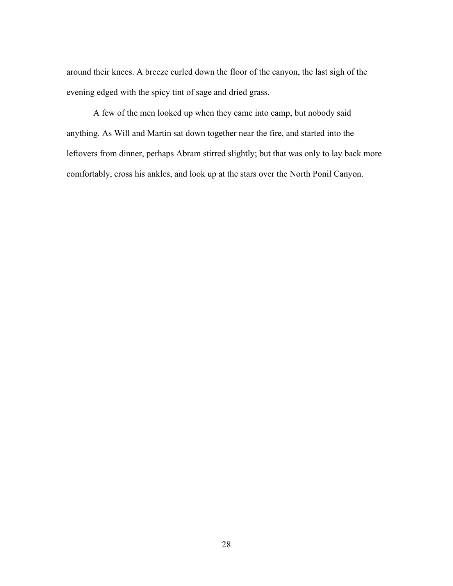around their knees. A breeze curled down the floor of the canyon, the last sigh of the evening edged with the spicy tint of sage and dried grass.

A few of the men looked up when they came into camp, but nobody said anything. As Will and Martin sat down together near the fire, and started into the leftovers from dinner, perhaps Abram stirred slightly; but that was only to lay back more comfortably, cross his ankles, and look up at the stars over the North Ponil Canyon.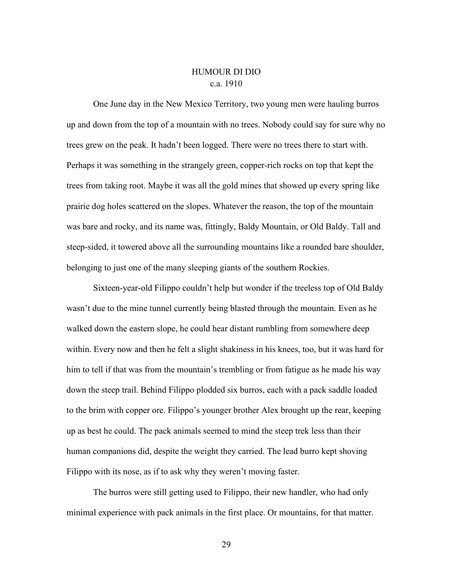### HUMOUR DI DIO c.a. 1910

<span id="page-33-0"></span>One June day in the New Mexico Territory, two young men were hauling burros up and down from the top of a mountain with no trees. Nobody could say for sure why no trees grew on the peak. It hadn't been logged. There were no trees there to start with. Perhaps it was something in the strangely green, copper-rich rocks on top that kept the trees from taking root. Maybe it was all the gold mines that showed up every spring like prairie dog holes scattered on the slopes. Whatever the reason, the top of the mountain was bare and rocky, and its name was, fittingly, Baldy Mountain, or Old Baldy. Tall and steep-sided, it towered above all the surrounding mountains like a rounded bare shoulder, belonging to just one of the many sleeping giants of the southern Rockies.

Sixteen-year-old Filippo couldn't help but wonder if the treeless top of Old Baldy wasn't due to the mine tunnel currently being blasted through the mountain. Even as he walked down the eastern slope, he could hear distant rumbling from somewhere deep within. Every now and then he felt a slight shakiness in his knees, too, but it was hard for him to tell if that was from the mountain's trembling or from fatigue as he made his way down the steep trail. Behind Filippo plodded six burros, each with a pack saddle loaded to the brim with copper ore. Filippo's younger brother Alex brought up the rear, keeping up as best he could. The pack animals seemed to mind the steep trek less than their human companions did, despite the weight they carried. The lead burro kept shoving Filippo with its nose, as if to ask why they weren't moving faster.

The burros were still getting used to Filippo, their new handler, who had only minimal experience with pack animals in the first place. Or mountains, for that matter.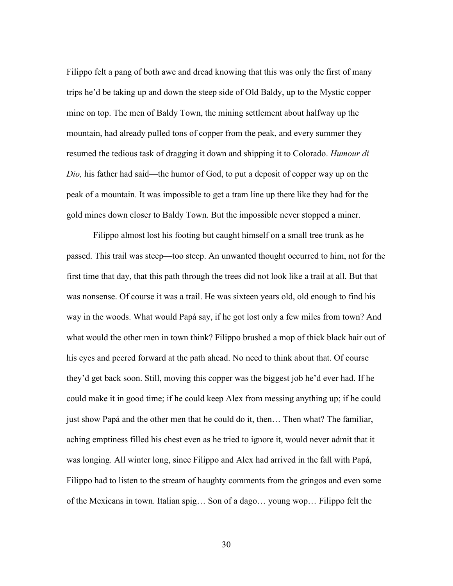Filippo felt a pang of both awe and dread knowing that this was only the first of many trips he'd be taking up and down the steep side of Old Baldy, up to the Mystic copper mine on top. The men of Baldy Town, the mining settlement about halfway up the mountain, had already pulled tons of copper from the peak, and every summer they resumed the tedious task of dragging it down and shipping it to Colorado. *Humour di Dio,* his father had said—the humor of God, to put a deposit of copper way up on the peak of a mountain. It was impossible to get a tram line up there like they had for the gold mines down closer to Baldy Town. But the impossible never stopped a miner.

Filippo almost lost his footing but caught himself on a small tree trunk as he passed. This trail was steep—too steep. An unwanted thought occurred to him, not for the first time that day, that this path through the trees did not look like a trail at all. But that was nonsense. Of course it was a trail. He was sixteen years old, old enough to find his way in the woods. What would Papá say, if he got lost only a few miles from town? And what would the other men in town think? Filippo brushed a mop of thick black hair out of his eyes and peered forward at the path ahead. No need to think about that. Of course they'd get back soon. Still, moving this copper was the biggest job he'd ever had. If he could make it in good time; if he could keep Alex from messing anything up; if he could just show Papá and the other men that he could do it, then… Then what? The familiar, aching emptiness filled his chest even as he tried to ignore it, would never admit that it was longing. All winter long, since Filippo and Alex had arrived in the fall with Papá, Filippo had to listen to the stream of haughty comments from the gringos and even some of the Mexicans in town. Italian spig… Son of a dago… young wop… Filippo felt the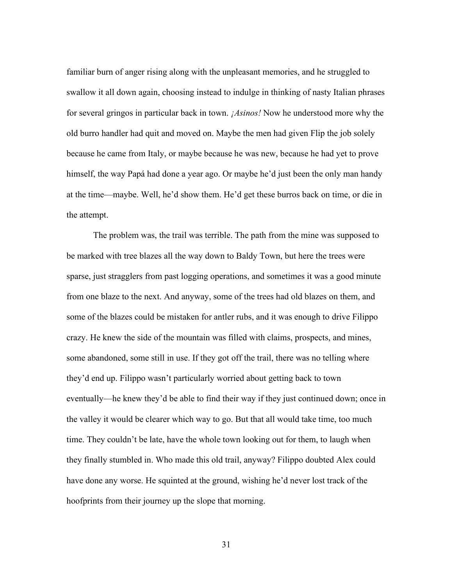familiar burn of anger rising along with the unpleasant memories, and he struggled to swallow it all down again, choosing instead to indulge in thinking of nasty Italian phrases for several gringos in particular back in town. *¡Asinos!* Now he understood more why the old burro handler had quit and moved on. Maybe the men had given Flip the job solely because he came from Italy, or maybe because he was new, because he had yet to prove himself, the way Papá had done a year ago. Or maybe he'd just been the only man handy at the time—maybe. Well, he'd show them. He'd get these burros back on time, or die in the attempt.

The problem was, the trail was terrible. The path from the mine was supposed to be marked with tree blazes all the way down to Baldy Town, but here the trees were sparse, just stragglers from past logging operations, and sometimes it was a good minute from one blaze to the next. And anyway, some of the trees had old blazes on them, and some of the blazes could be mistaken for antler rubs, and it was enough to drive Filippo crazy. He knew the side of the mountain was filled with claims, prospects, and mines, some abandoned, some still in use. If they got off the trail, there was no telling where they'd end up. Filippo wasn't particularly worried about getting back to town eventually—he knew they'd be able to find their way if they just continued down; once in the valley it would be clearer which way to go. But that all would take time, too much time. They couldn't be late, have the whole town looking out for them, to laugh when they finally stumbled in. Who made this old trail, anyway? Filippo doubted Alex could have done any worse. He squinted at the ground, wishing he'd never lost track of the hoofprints from their journey up the slope that morning.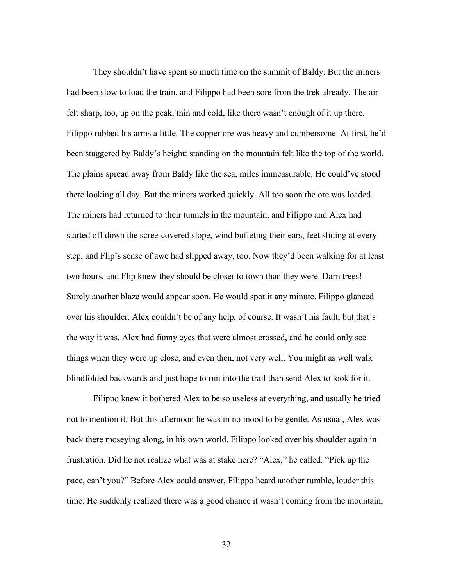They shouldn't have spent so much time on the summit of Baldy. But the miners had been slow to load the train, and Filippo had been sore from the trek already. The air felt sharp, too, up on the peak, thin and cold, like there wasn't enough of it up there. Filippo rubbed his arms a little. The copper ore was heavy and cumbersome. At first, he'd been staggered by Baldy's height: standing on the mountain felt like the top of the world. The plains spread away from Baldy like the sea, miles immeasurable. He could've stood there looking all day. But the miners worked quickly. All too soon the ore was loaded. The miners had returned to their tunnels in the mountain, and Filippo and Alex had started off down the scree-covered slope, wind buffeting their ears, feet sliding at every step, and Flip's sense of awe had slipped away, too. Now they'd been walking for at least two hours, and Flip knew they should be closer to town than they were. Darn trees! Surely another blaze would appear soon. He would spot it any minute. Filippo glanced over his shoulder. Alex couldn't be of any help, of course. It wasn't his fault, but that's the way it was. Alex had funny eyes that were almost crossed, and he could only see things when they were up close, and even then, not very well. You might as well walk blindfolded backwards and just hope to run into the trail than send Alex to look for it.

Filippo knew it bothered Alex to be so useless at everything, and usually he tried not to mention it. But this afternoon he was in no mood to be gentle. As usual, Alex was back there moseying along, in his own world. Filippo looked over his shoulder again in frustration. Did he not realize what was at stake here? "Alex," he called. "Pick up the pace, can't you?" Before Alex could answer, Filippo heard another rumble, louder this time. He suddenly realized there was a good chance it wasn't coming from the mountain,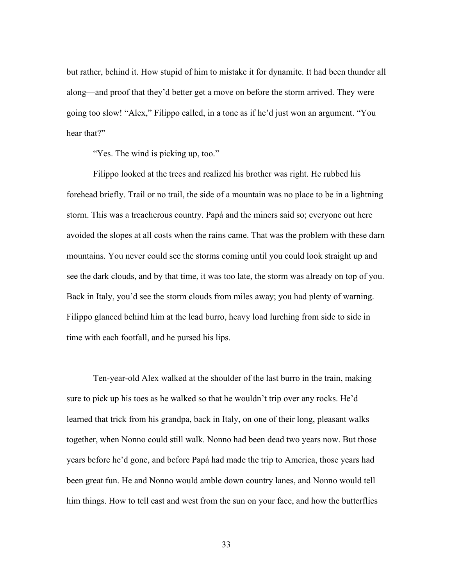but rather, behind it. How stupid of him to mistake it for dynamite. It had been thunder all along—and proof that they'd better get a move on before the storm arrived. They were going too slow! "Alex," Filippo called, in a tone as if he'd just won an argument. "You hear that?"

"Yes. The wind is picking up, too."

Filippo looked at the trees and realized his brother was right. He rubbed his forehead briefly. Trail or no trail, the side of a mountain was no place to be in a lightning storm. This was a treacherous country. Papá and the miners said so; everyone out here avoided the slopes at all costs when the rains came. That was the problem with these darn mountains. You never could see the storms coming until you could look straight up and see the dark clouds, and by that time, it was too late, the storm was already on top of you. Back in Italy, you'd see the storm clouds from miles away; you had plenty of warning. Filippo glanced behind him at the lead burro, heavy load lurching from side to side in time with each footfall, and he pursed his lips.

Ten-year-old Alex walked at the shoulder of the last burro in the train, making sure to pick up his toes as he walked so that he wouldn't trip over any rocks. He'd learned that trick from his grandpa, back in Italy, on one of their long, pleasant walks together, when Nonno could still walk. Nonno had been dead two years now. But those years before he'd gone, and before Papá had made the trip to America, those years had been great fun. He and Nonno would amble down country lanes, and Nonno would tell him things. How to tell east and west from the sun on your face, and how the butterflies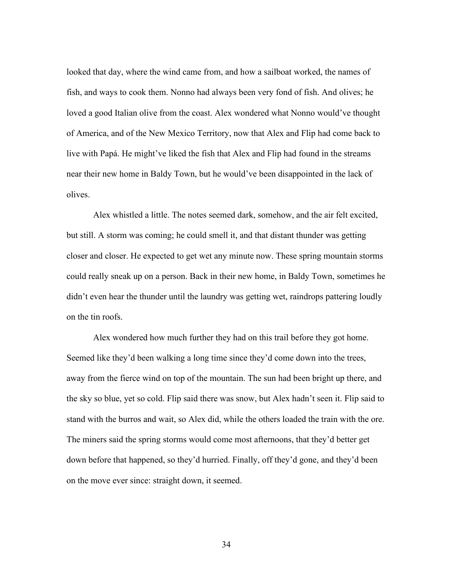looked that day, where the wind came from, and how a sailboat worked, the names of fish, and ways to cook them. Nonno had always been very fond of fish. And olives; he loved a good Italian olive from the coast. Alex wondered what Nonno would've thought of America, and of the New Mexico Territory, now that Alex and Flip had come back to live with Papá. He might've liked the fish that Alex and Flip had found in the streams near their new home in Baldy Town, but he would've been disappointed in the lack of olives.

Alex whistled a little. The notes seemed dark, somehow, and the air felt excited, but still. A storm was coming; he could smell it, and that distant thunder was getting closer and closer. He expected to get wet any minute now. These spring mountain storms could really sneak up on a person. Back in their new home, in Baldy Town, sometimes he didn't even hear the thunder until the laundry was getting wet, raindrops pattering loudly on the tin roofs.

Alex wondered how much further they had on this trail before they got home. Seemed like they'd been walking a long time since they'd come down into the trees, away from the fierce wind on top of the mountain. The sun had been bright up there, and the sky so blue, yet so cold. Flip said there was snow, but Alex hadn't seen it. Flip said to stand with the burros and wait, so Alex did, while the others loaded the train with the ore. The miners said the spring storms would come most afternoons, that they'd better get down before that happened, so they'd hurried. Finally, off they'd gone, and they'd been on the move ever since: straight down, it seemed.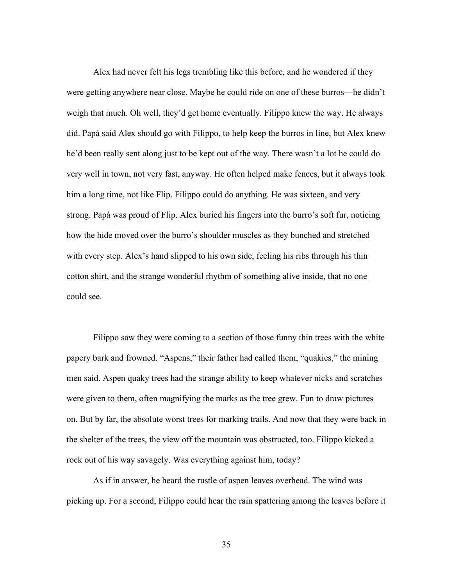Alex had never felt his legs trembling like this before, and he wondered if they were getting anywhere near close. Maybe he could ride on one of these burros—he didn't weigh that much. Oh well, they'd get home eventually. Filippo knew the way. He always did. Papá said Alex should go with Filippo, to help keep the burros in line, but Alex knew he'd been really sent along just to be kept out of the way. There wasn't a lot he could do very well in town, not very fast, anyway. He often helped make fences, but it always took him a long time, not like Flip. Filippo could do anything. He was sixteen, and very strong. Papá was proud of Flip. Alex buried his fingers into the burro's soft fur, noticing how the hide moved over the burro's shoulder muscles as they bunched and stretched with every step. Alex's hand slipped to his own side, feeling his ribs through his thin cotton shirt, and the strange wonderful rhythm of something alive inside, that no one could see.

Filippo saw they were coming to a section of those funny thin trees with the white papery bark and frowned. "Aspens," their father had called them, "quakies," the mining men said. Aspen quaky trees had the strange ability to keep whatever nicks and scratches were given to them, often magnifying the marks as the tree grew. Fun to draw pictures on. But by far, the absolute worst trees for marking trails. And now that they were back in the shelter of the trees, the view off the mountain was obstructed, too. Filippo kicked a rock out of his way savagely. Was everything against him, today?

As if in answer, he heard the rustle of aspen leaves overhead. The wind was picking up. For a second, Filippo could hear the rain spattering among the leaves before it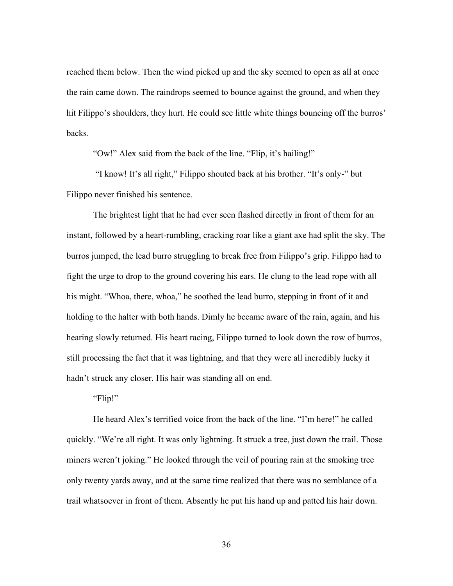reached them below. Then the wind picked up and the sky seemed to open as all at once the rain came down. The raindrops seemed to bounce against the ground, and when they hit Filippo's shoulders, they hurt. He could see little white things bouncing off the burros' backs.

"Ow!" Alex said from the back of the line. "Flip, it's hailing!"

"I know! It's all right," Filippo shouted back at his brother. "It's only-" but Filippo never finished his sentence.

The brightest light that he had ever seen flashed directly in front of them for an instant, followed by a heart-rumbling, cracking roar like a giant axe had split the sky. The burros jumped, the lead burro struggling to break free from Filippo's grip. Filippo had to fight the urge to drop to the ground covering his ears. He clung to the lead rope with all his might. "Whoa, there, whoa," he soothed the lead burro, stepping in front of it and holding to the halter with both hands. Dimly he became aware of the rain, again, and his hearing slowly returned. His heart racing, Filippo turned to look down the row of burros, still processing the fact that it was lightning, and that they were all incredibly lucky it hadn't struck any closer. His hair was standing all on end.

"Flip!"

He heard Alex's terrified voice from the back of the line. "I'm here!" he called quickly. "We're all right. It was only lightning. It struck a tree, just down the trail. Those miners weren't joking." He looked through the veil of pouring rain at the smoking tree only twenty yards away, and at the same time realized that there was no semblance of a trail whatsoever in front of them. Absently he put his hand up and patted his hair down.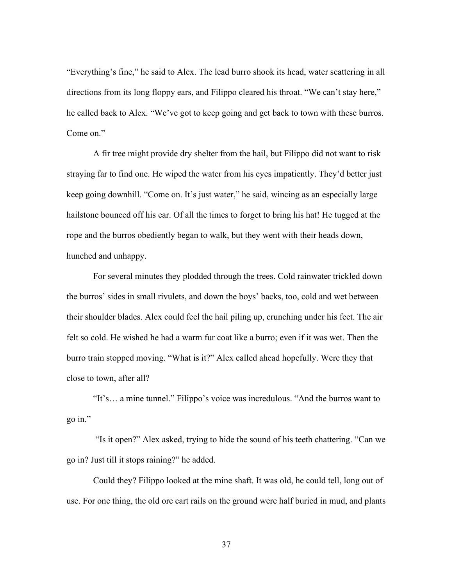"Everything's fine," he said to Alex. The lead burro shook its head, water scattering in all directions from its long floppy ears, and Filippo cleared his throat. "We can't stay here," he called back to Alex. "We've got to keep going and get back to town with these burros. Come on."

A fir tree might provide dry shelter from the hail, but Filippo did not want to risk straying far to find one. He wiped the water from his eyes impatiently. They'd better just keep going downhill. "Come on. It's just water," he said, wincing as an especially large hailstone bounced off his ear. Of all the times to forget to bring his hat! He tugged at the rope and the burros obediently began to walk, but they went with their heads down, hunched and unhappy.

For several minutes they plodded through the trees. Cold rainwater trickled down the burros' sides in small rivulets, and down the boys' backs, too, cold and wet between their shoulder blades. Alex could feel the hail piling up, crunching under his feet. The air felt so cold. He wished he had a warm fur coat like a burro; even if it was wet. Then the burro train stopped moving. "What is it?" Alex called ahead hopefully. Were they that close to town, after all?

"It's… a mine tunnel." Filippo's voice was incredulous. "And the burros want to go in."

"Is it open?" Alex asked, trying to hide the sound of his teeth chattering. "Can we go in? Just till it stops raining?" he added.

Could they? Filippo looked at the mine shaft. It was old, he could tell, long out of use. For one thing, the old ore cart rails on the ground were half buried in mud, and plants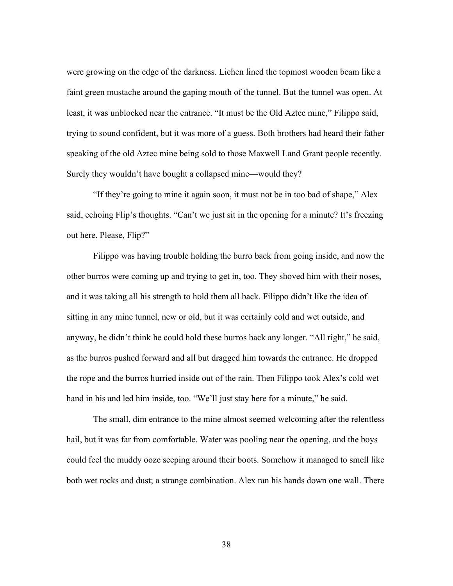were growing on the edge of the darkness. Lichen lined the topmost wooden beam like a faint green mustache around the gaping mouth of the tunnel. But the tunnel was open. At least, it was unblocked near the entrance. "It must be the Old Aztec mine," Filippo said, trying to sound confident, but it was more of a guess. Both brothers had heard their father speaking of the old Aztec mine being sold to those Maxwell Land Grant people recently. Surely they wouldn't have bought a collapsed mine—would they?

"If they're going to mine it again soon, it must not be in too bad of shape," Alex said, echoing Flip's thoughts. "Can't we just sit in the opening for a minute? It's freezing out here. Please, Flip?"

Filippo was having trouble holding the burro back from going inside, and now the other burros were coming up and trying to get in, too. They shoved him with their noses, and it was taking all his strength to hold them all back. Filippo didn't like the idea of sitting in any mine tunnel, new or old, but it was certainly cold and wet outside, and anyway, he didn't think he could hold these burros back any longer. "All right," he said, as the burros pushed forward and all but dragged him towards the entrance. He dropped the rope and the burros hurried inside out of the rain. Then Filippo took Alex's cold wet hand in his and led him inside, too. "We'll just stay here for a minute," he said.

The small, dim entrance to the mine almost seemed welcoming after the relentless hail, but it was far from comfortable. Water was pooling near the opening, and the boys could feel the muddy ooze seeping around their boots. Somehow it managed to smell like both wet rocks and dust; a strange combination. Alex ran his hands down one wall. There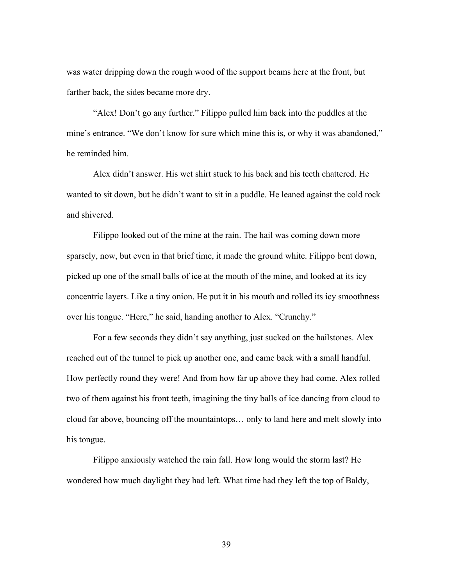was water dripping down the rough wood of the support beams here at the front, but farther back, the sides became more dry.

"Alex! Don't go any further." Filippo pulled him back into the puddles at the mine's entrance. "We don't know for sure which mine this is, or why it was abandoned," he reminded him.

Alex didn't answer. His wet shirt stuck to his back and his teeth chattered. He wanted to sit down, but he didn't want to sit in a puddle. He leaned against the cold rock and shivered.

Filippo looked out of the mine at the rain. The hail was coming down more sparsely, now, but even in that brief time, it made the ground white. Filippo bent down, picked up one of the small balls of ice at the mouth of the mine, and looked at its icy concentric layers. Like a tiny onion. He put it in his mouth and rolled its icy smoothness over his tongue. "Here," he said, handing another to Alex. "Crunchy."

For a few seconds they didn't say anything, just sucked on the hailstones. Alex reached out of the tunnel to pick up another one, and came back with a small handful. How perfectly round they were! And from how far up above they had come. Alex rolled two of them against his front teeth, imagining the tiny balls of ice dancing from cloud to cloud far above, bouncing off the mountaintops… only to land here and melt slowly into his tongue.

Filippo anxiously watched the rain fall. How long would the storm last? He wondered how much daylight they had left. What time had they left the top of Baldy,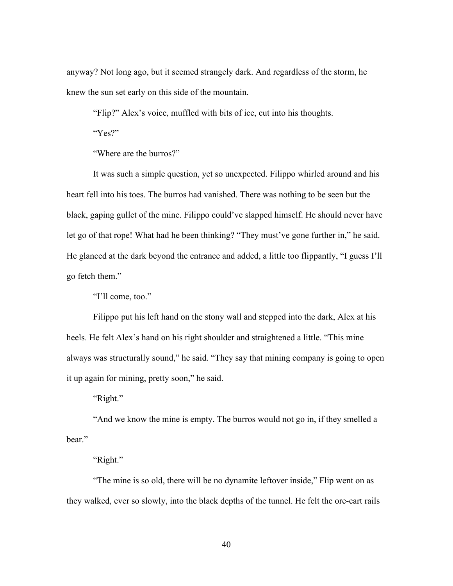anyway? Not long ago, but it seemed strangely dark. And regardless of the storm, he knew the sun set early on this side of the mountain.

"Flip?" Alex's voice, muffled with bits of ice, cut into his thoughts.

"Yes?"

"Where are the burros?"

It was such a simple question, yet so unexpected. Filippo whirled around and his heart fell into his toes. The burros had vanished. There was nothing to be seen but the black, gaping gullet of the mine. Filippo could've slapped himself. He should never have let go of that rope! What had he been thinking? "They must've gone further in," he said. He glanced at the dark beyond the entrance and added, a little too flippantly, "I guess I'll go fetch them."

"I'll come, too."

Filippo put his left hand on the stony wall and stepped into the dark, Alex at his heels. He felt Alex's hand on his right shoulder and straightened a little. "This mine always was structurally sound," he said. "They say that mining company is going to open it up again for mining, pretty soon," he said.

"Right."

"And we know the mine is empty. The burros would not go in, if they smelled a bear."

"Right."

"The mine is so old, there will be no dynamite leftover inside," Flip went on as they walked, ever so slowly, into the black depths of the tunnel. He felt the ore-cart rails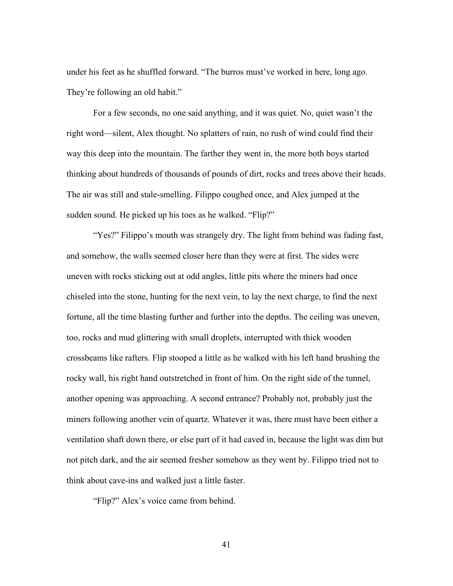under his feet as he shuffled forward. "The burros must've worked in here, long ago. They're following an old habit."

For a few seconds, no one said anything, and it was quiet. No, quiet wasn't the right word—silent, Alex thought. No splatters of rain, no rush of wind could find their way this deep into the mountain. The farther they went in, the more both boys started thinking about hundreds of thousands of pounds of dirt, rocks and trees above their heads. The air was still and stale-smelling. Filippo coughed once, and Alex jumped at the sudden sound. He picked up his toes as he walked. "Flip?"

"Yes?" Filippo's mouth was strangely dry. The light from behind was fading fast, and somehow, the walls seemed closer here than they were at first. The sides were uneven with rocks sticking out at odd angles, little pits where the miners had once chiseled into the stone, hunting for the next vein, to lay the next charge, to find the next fortune, all the time blasting further and further into the depths. The ceiling was uneven, too, rocks and mud glittering with small droplets, interrupted with thick wooden crossbeams like rafters. Flip stooped a little as he walked with his left hand brushing the rocky wall, his right hand outstretched in front of him. On the right side of the tunnel, another opening was approaching. A second entrance? Probably not, probably just the miners following another vein of quartz. Whatever it was, there must have been either a ventilation shaft down there, or else part of it had caved in, because the light was dim but not pitch dark, and the air seemed fresher somehow as they went by. Filippo tried not to think about cave-ins and walked just a little faster.

"Flip?" Alex's voice came from behind.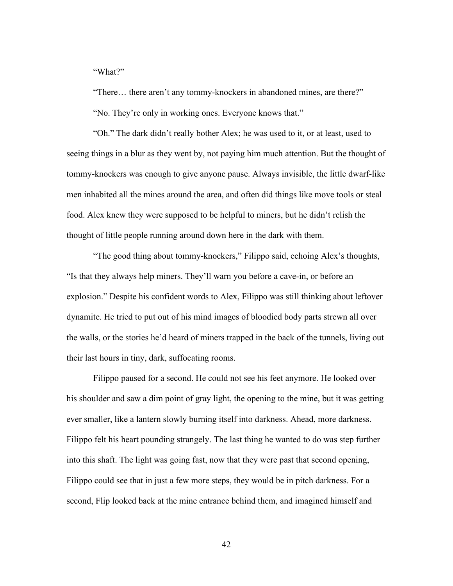"What?"

"There… there aren't any tommy-knockers in abandoned mines, are there?" "No. They're only in working ones. Everyone knows that."

"Oh." The dark didn't really bother Alex; he was used to it, or at least, used to seeing things in a blur as they went by, not paying him much attention. But the thought of tommy-knockers was enough to give anyone pause. Always invisible, the little dwarf-like men inhabited all the mines around the area, and often did things like move tools or steal food. Alex knew they were supposed to be helpful to miners, but he didn't relish the thought of little people running around down here in the dark with them.

"The good thing about tommy-knockers," Filippo said, echoing Alex's thoughts, "Is that they always help miners. They'll warn you before a cave-in, or before an explosion." Despite his confident words to Alex, Filippo was still thinking about leftover dynamite. He tried to put out of his mind images of bloodied body parts strewn all over the walls, or the stories he'd heard of miners trapped in the back of the tunnels, living out their last hours in tiny, dark, suffocating rooms.

Filippo paused for a second. He could not see his feet anymore. He looked over his shoulder and saw a dim point of gray light, the opening to the mine, but it was getting ever smaller, like a lantern slowly burning itself into darkness. Ahead, more darkness. Filippo felt his heart pounding strangely. The last thing he wanted to do was step further into this shaft. The light was going fast, now that they were past that second opening, Filippo could see that in just a few more steps, they would be in pitch darkness. For a second, Flip looked back at the mine entrance behind them, and imagined himself and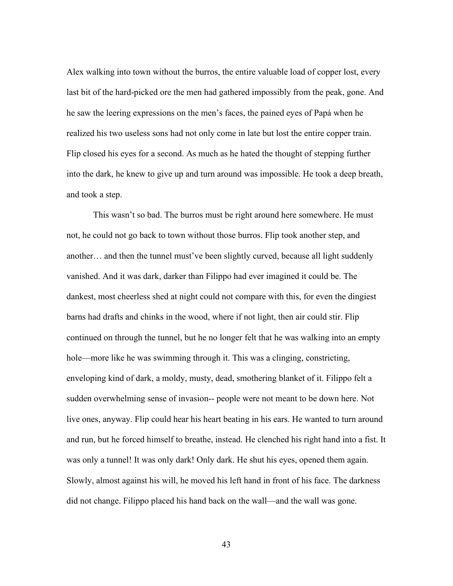Alex walking into town without the burros, the entire valuable load of copper lost, every last bit of the hard-picked ore the men had gathered impossibly from the peak, gone. And he saw the leering expressions on the men's faces, the pained eyes of Papá when he realized his two useless sons had not only come in late but lost the entire copper train. Flip closed his eyes for a second. As much as he hated the thought of stepping further into the dark, he knew to give up and turn around was impossible. He took a deep breath, and took a step.

This wasn't so bad. The burros must be right around here somewhere. He must not, he could not go back to town without those burros. Flip took another step, and another… and then the tunnel must've been slightly curved, because all light suddenly vanished. And it was dark, darker than Filippo had ever imagined it could be. The dankest, most cheerless shed at night could not compare with this, for even the dingiest barns had drafts and chinks in the wood, where if not light, then air could stir. Flip continued on through the tunnel, but he no longer felt that he was walking into an empty hole—more like he was swimming through it. This was a clinging, constricting, enveloping kind of dark, a moldy, musty, dead, smothering blanket of it. Filippo felt a sudden overwhelming sense of invasion-- people were not meant to be down here. Not live ones, anyway. Flip could hear his heart beating in his ears. He wanted to turn around and run, but he forced himself to breathe, instead. He clenched his right hand into a fist. It was only a tunnel! It was only dark! Only dark. He shut his eyes, opened them again. Slowly, almost against his will, he moved his left hand in front of his face. The darkness did not change. Filippo placed his hand back on the wall—and the wall was gone.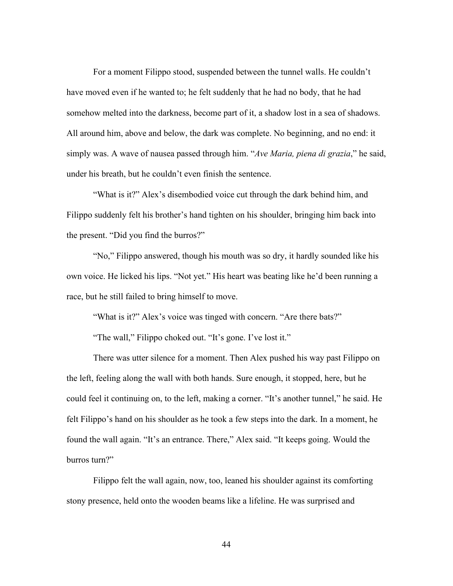For a moment Filippo stood, suspended between the tunnel walls. He couldn't have moved even if he wanted to; he felt suddenly that he had no body, that he had somehow melted into the darkness, become part of it, a shadow lost in a sea of shadows. All around him, above and below, the dark was complete. No beginning, and no end: it simply was. A wave of nausea passed through him. "*Ave Maria, piena di grazia*," he said, under his breath, but he couldn't even finish the sentence.

"What is it?" Alex's disembodied voice cut through the dark behind him, and Filippo suddenly felt his brother's hand tighten on his shoulder, bringing him back into the present. "Did you find the burros?"

"No," Filippo answered, though his mouth was so dry, it hardly sounded like his own voice. He licked his lips. "Not yet." His heart was beating like he'd been running a race, but he still failed to bring himself to move.

"What is it?" Alex's voice was tinged with concern. "Are there bats?"

"The wall," Filippo choked out. "It's gone. I've lost it."

There was utter silence for a moment. Then Alex pushed his way past Filippo on the left, feeling along the wall with both hands. Sure enough, it stopped, here, but he could feel it continuing on, to the left, making a corner. "It's another tunnel," he said. He felt Filippo's hand on his shoulder as he took a few steps into the dark. In a moment, he found the wall again. "It's an entrance. There," Alex said. "It keeps going. Would the burros turn?"

Filippo felt the wall again, now, too, leaned his shoulder against its comforting stony presence, held onto the wooden beams like a lifeline. He was surprised and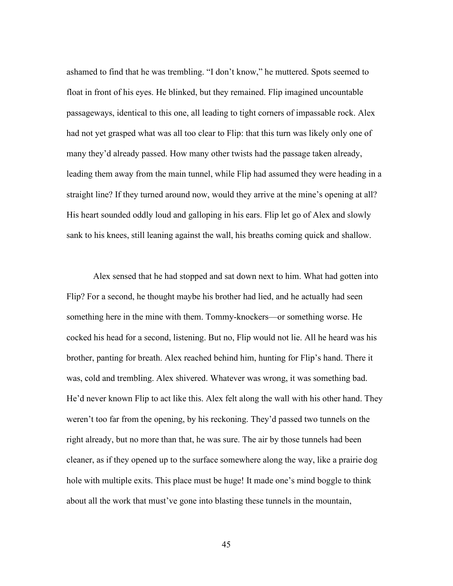ashamed to find that he was trembling. "I don't know," he muttered. Spots seemed to float in front of his eyes. He blinked, but they remained. Flip imagined uncountable passageways, identical to this one, all leading to tight corners of impassable rock. Alex had not yet grasped what was all too clear to Flip: that this turn was likely only one of many they'd already passed. How many other twists had the passage taken already, leading them away from the main tunnel, while Flip had assumed they were heading in a straight line? If they turned around now, would they arrive at the mine's opening at all? His heart sounded oddly loud and galloping in his ears. Flip let go of Alex and slowly sank to his knees, still leaning against the wall, his breaths coming quick and shallow.

Alex sensed that he had stopped and sat down next to him. What had gotten into Flip? For a second, he thought maybe his brother had lied, and he actually had seen something here in the mine with them. Tommy-knockers—or something worse. He cocked his head for a second, listening. But no, Flip would not lie. All he heard was his brother, panting for breath. Alex reached behind him, hunting for Flip's hand. There it was, cold and trembling. Alex shivered. Whatever was wrong, it was something bad. He'd never known Flip to act like this. Alex felt along the wall with his other hand. They weren't too far from the opening, by his reckoning. They'd passed two tunnels on the right already, but no more than that, he was sure. The air by those tunnels had been cleaner, as if they opened up to the surface somewhere along the way, like a prairie dog hole with multiple exits. This place must be huge! It made one's mind boggle to think about all the work that must've gone into blasting these tunnels in the mountain,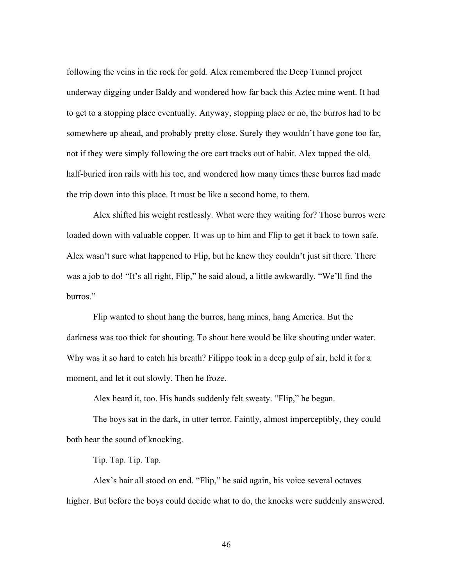following the veins in the rock for gold. Alex remembered the Deep Tunnel project underway digging under Baldy and wondered how far back this Aztec mine went. It had to get to a stopping place eventually. Anyway, stopping place or no, the burros had to be somewhere up ahead, and probably pretty close. Surely they wouldn't have gone too far, not if they were simply following the ore cart tracks out of habit. Alex tapped the old, half-buried iron rails with his toe, and wondered how many times these burros had made the trip down into this place. It must be like a second home, to them.

Alex shifted his weight restlessly. What were they waiting for? Those burros were loaded down with valuable copper. It was up to him and Flip to get it back to town safe. Alex wasn't sure what happened to Flip, but he knew they couldn't just sit there. There was a job to do! "It's all right, Flip," he said aloud, a little awkwardly. "We'll find the burros."

Flip wanted to shout hang the burros, hang mines, hang America. But the darkness was too thick for shouting. To shout here would be like shouting under water. Why was it so hard to catch his breath? Filippo took in a deep gulp of air, held it for a moment, and let it out slowly. Then he froze.

Alex heard it, too. His hands suddenly felt sweaty. "Flip," he began.

The boys sat in the dark, in utter terror. Faintly, almost imperceptibly, they could both hear the sound of knocking.

Tip. Tap. Tip. Tap.

Alex's hair all stood on end. "Flip," he said again, his voice several octaves higher. But before the boys could decide what to do, the knocks were suddenly answered.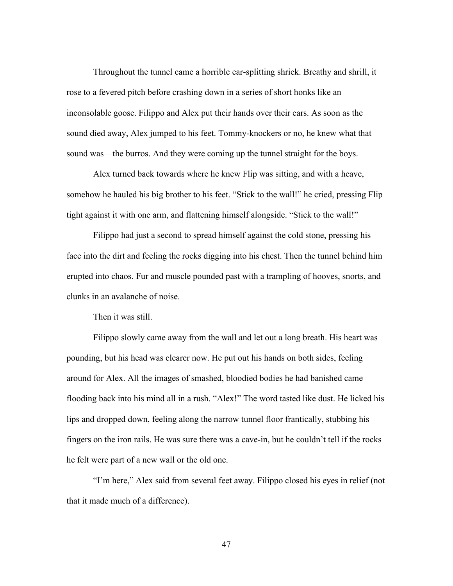Throughout the tunnel came a horrible ear-splitting shriek. Breathy and shrill, it rose to a fevered pitch before crashing down in a series of short honks like an inconsolable goose. Filippo and Alex put their hands over their ears. As soon as the sound died away, Alex jumped to his feet. Tommy-knockers or no, he knew what that sound was—the burros. And they were coming up the tunnel straight for the boys.

Alex turned back towards where he knew Flip was sitting, and with a heave, somehow he hauled his big brother to his feet. "Stick to the wall!" he cried, pressing Flip tight against it with one arm, and flattening himself alongside. "Stick to the wall!"

Filippo had just a second to spread himself against the cold stone, pressing his face into the dirt and feeling the rocks digging into his chest. Then the tunnel behind him erupted into chaos. Fur and muscle pounded past with a trampling of hooves, snorts, and clunks in an avalanche of noise.

Then it was still.

Filippo slowly came away from the wall and let out a long breath. His heart was pounding, but his head was clearer now. He put out his hands on both sides, feeling around for Alex. All the images of smashed, bloodied bodies he had banished came flooding back into his mind all in a rush. "Alex!" The word tasted like dust. He licked his lips and dropped down, feeling along the narrow tunnel floor frantically, stubbing his fingers on the iron rails. He was sure there was a cave-in, but he couldn't tell if the rocks he felt were part of a new wall or the old one.

"I'm here," Alex said from several feet away. Filippo closed his eyes in relief (not that it made much of a difference).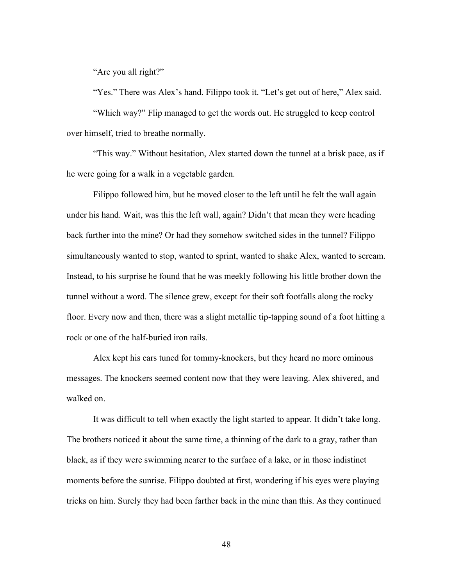"Are you all right?"

"Yes." There was Alex's hand. Filippo took it. "Let's get out of here," Alex said. "Which way?" Flip managed to get the words out. He struggled to keep control over himself, tried to breathe normally.

"This way." Without hesitation, Alex started down the tunnel at a brisk pace, as if he were going for a walk in a vegetable garden.

Filippo followed him, but he moved closer to the left until he felt the wall again under his hand. Wait, was this the left wall, again? Didn't that mean they were heading back further into the mine? Or had they somehow switched sides in the tunnel? Filippo simultaneously wanted to stop, wanted to sprint, wanted to shake Alex, wanted to scream. Instead, to his surprise he found that he was meekly following his little brother down the tunnel without a word. The silence grew, except for their soft footfalls along the rocky floor. Every now and then, there was a slight metallic tip-tapping sound of a foot hitting a rock or one of the half-buried iron rails.

Alex kept his ears tuned for tommy-knockers, but they heard no more ominous messages. The knockers seemed content now that they were leaving. Alex shivered, and walked on.

It was difficult to tell when exactly the light started to appear. It didn't take long. The brothers noticed it about the same time, a thinning of the dark to a gray, rather than black, as if they were swimming nearer to the surface of a lake, or in those indistinct moments before the sunrise. Filippo doubted at first, wondering if his eyes were playing tricks on him. Surely they had been farther back in the mine than this. As they continued